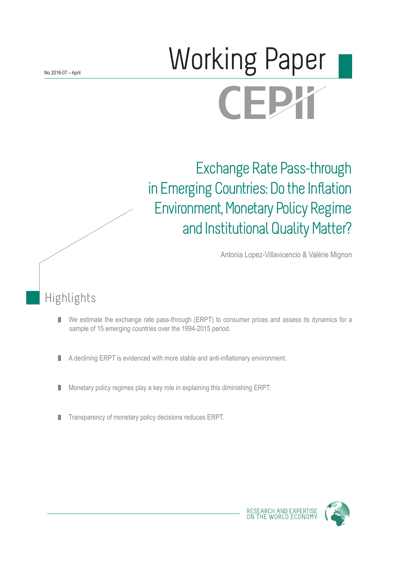# Norking Paper CEPX

Exchange Rate Pass-through in Emerging Countries: Do the Inflation Environment, Monetary Policy Regime and Institutional Quality Matter?

Antonia Lopez-Villavicencio & Valérie Mignon

# Highlights

- We estimate the exchange rate pass-through (ERPT) to consumer prices and assess its dynamics for a П sample of 15 emerging countries over the 1994-2015 period.
- A declining ERPT is evidenced with more stable and anti-inflationary environment. П
- Monetary policy regimes play a key role in explaining this diminishing ERPT. ш
- Transparency of monetary policy decisions reduces ERPT. ш



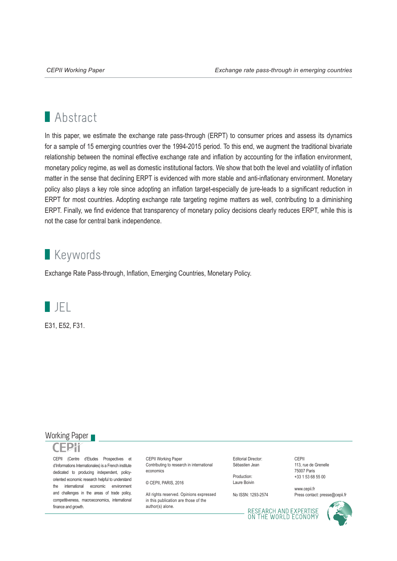# **Abstract**

In this paper, we estimate the exchange rate pass-through (ERPT) to consumer prices and assess its dynamics for a sample of 15 emerging countries over the 1994-2015 period. To this end, we augment the traditional bivariate relationship between the nominal effective exchange rate and inflation by accounting for the inflation environment, monetary policy regime, as well as domestic institutional factors. We show that both the level and volatility of inflation matter in the sense that declining ERPT is evidenced with more stable and anti-inflationary environment. Monetary policy also plays a key role since adopting an inflation target-especially de jure-leads to a significant reduction in ERPT for most countries. Adopting exchange rate targeting regime matters as well, contributing to a diminishing ERPT. Finally, we find evidence that transparency of monetary policy decisions clearly reduces ERPT, while this is not the case for central bank independence.

# **Keywords**

Exchange Rate Pass-through, Inflation, Emerging Countries, Monetary Policy.



E31, E52, F31.

## Working Paper



CEPII (Centre d'Etudes Prospectives et d'Informations Internationales) is a French institute dedicated to producing independent, policyoriented economic research helpful to understand the international economic environment and challenges in the areas of trade policy, competitiveness, macroeconomics, international finance and growth.

CEPII Working Paper Contributing to research in international economics

© CEPII, PARIS, 2016

All rights reserved. Opinions expressed. in this publication are those of the author(s) alone.

Editorial Director: Sébastien Jean

Production: Laure Boivin

No ISSN: 1293-2574

CEPII 113, rue de Grenelle 75007 Paris +33 1 53 68 55 00

www.cepii.fr Press contact: presse@cepii.fr

RESEARCH AND EXPERTISE<br>ON THE WORLD ECONOMY

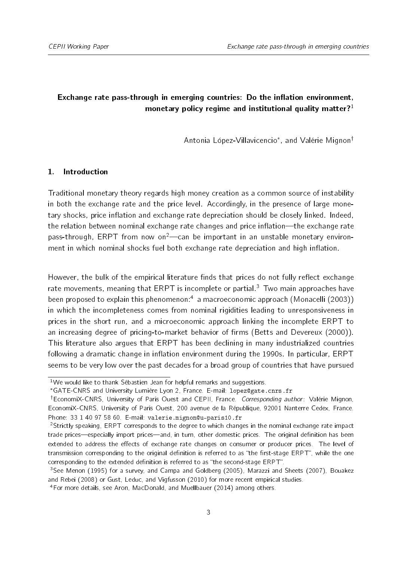# Exchange rate pass-through in emerging countries: Do the inflation environment, monetary policy regime and institutional quality matter? $1$

Antonia López-Villavicencio\*, and Valérie Mignon<sup>†</sup>

#### 1. Introduction

Traditional monetary theory regards high money creation as a common source of instability in both the exchange rate and the price level. Accordingly, in the presence of large monetary shocks, price inflation and exchange rate depreciation should be closely linked. Indeed, the relation between nominal exchange rate changes and price inflation—the exchange rate pass-through, ERPT from now on<sup>[2](#page-2-3)</sup>—can be important in an unstable monetary environment in which nominal shocks fuel both exchange rate depreciation and high inflation.

However, the bulk of the empirical literature finds that prices do not fully reflect exchange rate movements, meaning that ERPT is incomplete or partial.<sup>[3](#page-2-4)</sup> Two main approaches have been proposed to explain this phenomenon:<sup>[4](#page-2-5)</sup> a macroeconomic approach [\(Monacelli](#page-29-0) [\(2003\)](#page-29-0)) in which the incompleteness comes from nominal rigidities leading to unresponsiveness in prices in the short run, and a microeconomic approach linking the incomplete ERPT to an increasing degree of pricing-to-market behavior of firms [\(Betts and Devereux](#page-27-0) [\(2000\)](#page-27-0)). This literature also argues that ERPT has been declining in many industrialized countries following a dramatic change in inflation environment during the 1990s. In particular, ERPT seems to be very low over the past decades for a broad group of countries that have pursued

<span id="page-2-0"></span> $1$ We would like to thank Sébastien Jean for helpful remarks and suggestions.

<span id="page-2-2"></span><span id="page-2-1"></span>GATE-CNRS and University Lumière Lyon 2, France. E-mail: lopez@gate.cnrs.fr

<sup>&</sup>lt;sup>†</sup>EconomiX-CNRS, University of Paris Ouest and CEPII, France. Corresponding author: Valérie Mignon, EconomiX-CNRS, University of Paris Ouest, 200 avenue de la République, 92001 Nanterre Cedex, France. Phone: 33 1 40 97 58 60. E-mail: valerie.mignon@u-paris10.fr

<span id="page-2-3"></span><sup>2</sup>Strictly speaking, ERPT corresponds to the degree to which changes in the nominal exchange rate impact trade prices—especially import prices—and, in turn, other domestic prices. The original definition has been extended to address the effects of exchange rate changes on consumer or producer prices. The level of transmission corresponding to the original definition is referred to as "the first-stage ERPT", while the one corresponding to the extended definition is referred to as "the second-stage ERPT".

<span id="page-2-4"></span><sup>&</sup>lt;sup>3</sup>See [Menon](#page-29-1) [\(1995\)](#page-29-1) for a survey, and [Campa and Goldberg](#page-27-1) [\(2005\)](#page-27-1), [Marazzi and Sheets](#page-28-0) [\(2007\)](#page-28-0), [Bouakez](#page-27-2) [and Rebei](#page-27-2) [\(2008\)](#page-27-2) or [Gust, Leduc, and Vigfusson](#page-28-1) [\(2010\)](#page-28-1) for more recent empirical studies.

<span id="page-2-5"></span><sup>4</sup>For more details, see [Aron, MacDonald, and Muellbauer](#page-27-3) [\(2014\)](#page-27-3) among others.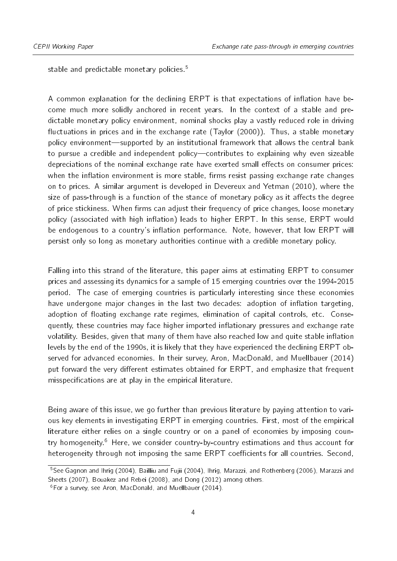stable and predictable monetary policies.<sup>[5](#page-3-0)</sup>

A common explanation for the declining ERPT is that expectations of inflation have become much more solidly anchored in recent years. In the context of a stable and predictable monetary policy environment, nominal shocks play a vastly reduced role in driving fluctuations in prices and in the exchange rate  $(Taylor (2000))$  $(Taylor (2000))$  $(Taylor (2000))$  $(Taylor (2000))$ . Thus, a stable monetary policy environment—supported by an institutional framework that allows the central bank to pursue a credible and independent policy-contributes to explaining why even sizeable depreciations of the nominal exchange rate have exerted small effects on consumer prices: when the inflation environment is more stable, firms resist passing exchange rate changes on to prices. A similar argument is developed in [Devereux and Yetman](#page-28-2) [\(2010\)](#page-28-2), where the size of pass-through is a function of the stance of monetary policy as it affects the degree of price stickiness. When firms can adjust their frequency of price changes, loose monetary policy (associated with high inflation) leads to higher ERPT. In this sense, ERPT would be endogenous to a country's inflation performance. Note, however, that low ERPT will persist only so long as monetary authorities continue with a credible monetary policy.

Falling into this strand of the literature, this paper aims at estimating ERPT to consumer prices and assessing its dynamics for a sample of 15 emerging countries over the 1994-2015 period. The case of emerging countries is particularly interesting since these economies have undergone major changes in the last two decades: adoption of inflation targeting, adoption of floating exchange rate regimes, elimination of capital controls, etc. Consequently, these countries may face higher imported inflationary pressures and exchange rate volatility. Besides, given that many of them have also reached low and quite stable inflation levels by the end of the 1990s, it is likely that they have experienced the declining ERPT observed for advanced economies. In their survey, [Aron, MacDonald, and Muellbauer](#page-27-3) [\(2014\)](#page-27-3) put forward the very different estimates obtained for ERPT, and emphasize that frequent misspecifications are at play in the empirical literature.

Being aware of this issue, we go further than previous literature by paying attention to various key elements in investigating ERPT in emerging countries. First, most of the empirical literature either relies on a single country or on a panel of economies by imposing coun-try homogeneity.<sup>[6](#page-3-1)</sup> Here, we consider country-by-country estimations and thus account for heterogeneity through not imposing the same ERPT coefficients for all countries. Second,

<span id="page-3-0"></span><sup>&</sup>lt;sup>5</sup>See [Gagnon and Ihrig](#page-28-3) [\(2004\)](#page-27-4), [Bailliu and Fujii](#page-27-4) (2004), [Ihrig, Marazzi, and Rothenberg](#page-28-4) [\(2006\)](#page-28-4), [Marazzi and](#page-28-0) [Sheets](#page-28-0) [\(2007\)](#page-28-0), [Bouakez and Rebei](#page-27-2) [\(2008\)](#page-27-2), and [Dong](#page-28-5) [\(2012\)](#page-28-5) among others.

<span id="page-3-1"></span><sup>6</sup>For a survey, see [Aron, MacDonald, and Muellbauer](#page-27-3) [\(2014\)](#page-27-3).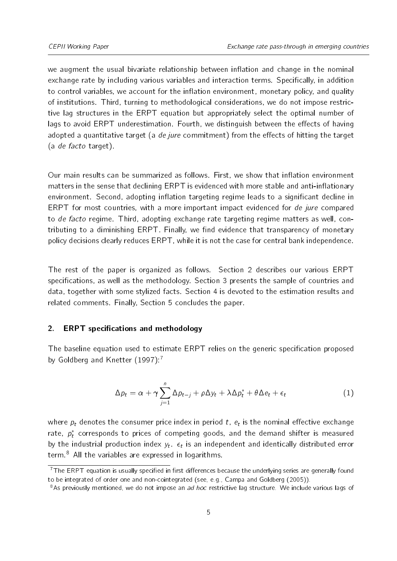we augment the usual bivariate relationship between inflation and change in the nominal exchange rate by including various variables and interaction terms. Specifically, in addition to control variables, we account for the inflation environment, monetary policy, and quality of institutions. Third, turning to methodological considerations, we do not impose restrictive lag structures in the ERPT equation but appropriately select the optimal number of lags to avoid ERPT underestimation. Fourth, we distinguish between the effects of having adopted a quantitative target (a de jure commitment) from the effects of hitting the target (a de facto target).

Our main results can be summarized as follows. First, we show that inflation environment matters in the sense that declining ERPT is evidenced with more stable and anti-inflationary environment. Second, adopting inflation targeting regime leads to a significant decline in ERPT for most countries, with a more important impact evidenced for de jure compared to de facto regime. Third, adopting exchange rate targeting regime matters as well, contributing to a diminishing ERPT. Finally, we find evidence that transparency of monetary policy decisions clearly reduces ERPT, while it is not the case for central bank independence.

The rest of the paper is organized as follows. Section [2](#page-4-0) describes our various ERPT specifications, as well as the methodology. Section [3](#page-10-0) presents the sample of countries and data, together with some stylized facts. Section [4](#page-15-0) is devoted to the estimation results and related comments. Finally, Section [5](#page-24-0) concludes the paper.

#### <span id="page-4-0"></span>2. ERPT specifications and methodology

<span id="page-4-3"></span>The baseline equation used to estimate ERPT relies on the generic specification proposed by [Goldberg and Knetter](#page-28-6) [\(1997\)](#page-28-6):<sup>[7](#page-4-1)</sup>

$$
\Delta p_t = \alpha + \gamma \sum_{j=1}^n \Delta p_{t-j} + \rho \Delta y_t + \lambda \Delta p_t^* + \theta \Delta e_t + \epsilon_t
$$
\n(1)

where  $p_t$  denotes the consumer price index in period  $t$ ,  $e_t$  is the nominal effective exchange rate,  $p_t^*$  corresponds to prices of competing goods, and the demand shifter is measured by the industrial production index  $y_t$ .  $\epsilon_t$  is an independent and identically distributed error term.[8](#page-4-2) All the variables are expressed in logarithms.

<span id="page-4-1"></span> $17$ The ERPT equation is usually specified in first differences because the underlying series are generally found to be integrated of order one and non-cointegrated (see, e.g., [Campa and Goldberg](#page-27-1) [\(2005\)](#page-27-1)).

<span id="page-4-2"></span><sup>&</sup>lt;sup>8</sup>As previously mentioned, we do not impose an *ad hoc* restrictive lag structure. We include various lags of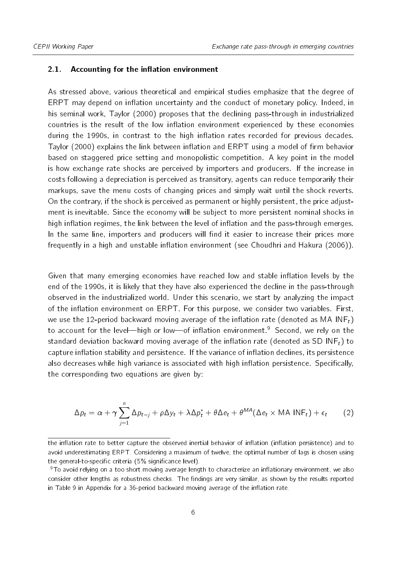#### 2.1. Accounting for the inflation environment

As stressed above, various theoretical and empirical studies emphasize that the degree of ERPT may depend on inflation uncertainty and the conduct of monetary policy. Indeed, in his seminal work, [Taylor](#page-29-2) [\(2000\)](#page-29-2) proposes that the declining pass-through in industrialized countries is the result of the low inflation environment experienced by these economies during the 1990s, in contrast to the high inflation rates recorded for previous decades. [Taylor](#page-29-2) [\(2000\)](#page-29-2) explains the link between inflation and ERPT using a model of firm behavior based on staggered price setting and monopolistic competition. A key point in the model is how exchange rate shocks are perceived by importers and producers. If the increase in costs following a depreciation is perceived as transitory, agents can reduce temporarily their markups, save the menu costs of changing prices and simply wait until the shock reverts. On the contrary, if the shock is perceived as permanent or highly persistent, the price adjustment is inevitable. Since the economy will be subject to more persistent nominal shocks in high inflation regimes, the link between the level of inflation and the pass-through emerges. In the same line, importers and producers will find it easier to increase their prices more frequently in a high and unstable inflation environment (see [Choudhri and Hakura](#page-27-5) [\(2006\)](#page-27-5)).

Given that many emerging economies have reached low and stable inflation levels by the end of the 1990s, it is likely that they have also experienced the decline in the pass-through observed in the industrialized world. Under this scenario, we start by analyzing the impact of the inflation environment on ERPT. For this purpose, we consider two variables. First, we use the 12-period backward moving average of the inflation rate (denoted as MA INF<sub>t</sub>) to account for the level—high or low—of inflation environment.<sup>[9](#page-5-0)</sup> Second, we rely on the standard deviation backward moving average of the inflation rate (denoted as SD INF<sub>t</sub>) to capture inflation stability and persistence. If the variance of inflation declines, its persistence also decreases while high variance is associated with high inflation persistence. Specifically, the corresponding two equations are given by:

<span id="page-5-1"></span>
$$
\Delta p_t = \alpha + \gamma \sum_{j=1}^n \Delta p_{t-j} + \rho \Delta y_t + \lambda \Delta p_t^* + \theta \Delta e_t + \theta^{MA} (\Delta e_t \times \text{MA INF}_t) + \epsilon_t \tag{2}
$$

the inflation rate to better capture the observed inertial behavior of inflation (inflation persistence) and to avoid underestimating ERPT. Considering a maximum of twelve, the optimal number of lags is chosen using the general-to-specific criteria (5% significance level).

<span id="page-5-0"></span> $9$ To avoid relying on a too short moving average length to characterize an inflationary environment, we also consider other lengths as robustness checks. The findings are very similar, as shown by the results reported in Table [9](#page-31-0) in Appendix for a 36-period backward moving average of the inflation rate.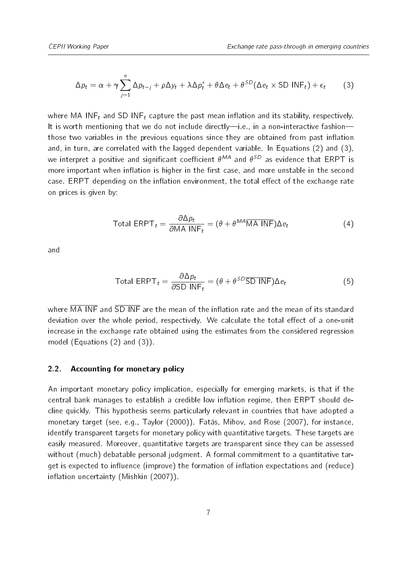<span id="page-6-0"></span>
$$
\Delta p_t = \alpha + \gamma \sum_{j=1}^n \Delta p_{t-j} + \rho \Delta y_t + \lambda \Delta p_t^* + \theta \Delta e_t + \theta^{SD} (\Delta e_t \times SD \text{ INF}_t) + \epsilon_t \tag{3}
$$

where MA INF<sub>t</sub> and SD INF<sub>t</sub> capture the past mean inflation and its stability, respectively. It is worth mentioning that we do not include directly-i.e., in a non-interactive fashionthose two variables in the previous equations since they are obtained from past inflation and, in turn, are correlated with the lagged dependent variable. In Equations [\(2\)](#page-5-1) and [\(3\)](#page-6-0), we interpret a positive and significant coefficient  $\theta^{MA}$  and  $\theta^{SD}$  as evidence that  $\sf{ERPT}$  is more important when inflation is higher in the first case, and more unstable in the second case. ERPT depending on the inflation environment, the total effect of the exchange rate on prices is given by:

Total ERPT<sub>t</sub> = 
$$
\frac{\partial \Delta p_t}{\partial MA \, INF_t}
$$
 =  $(\theta + \theta^{MA} \overline{MA} \, INF)\Delta e_t$  (4)

and

Total ERPT<sub>t</sub> = 
$$
\frac{\partial \Delta p_t}{\partial SD \, INF_t}
$$
 =  $(\theta + \theta^{SD} \overline{SD} \, INF) \Delta e_t$  (5)

where  $\overline{MA}$  INF and  $\overline{SD}$  INF are the mean of the inflation rate and the mean of its standard deviation over the whole period, respectively. We calculate the total effect of a one-unit increase in the exchange rate obtained using the estimates from the considered regression model (Equations [\(2\)](#page-5-1) and [\(3\)](#page-6-0)).

#### 2.2. Accounting for monetary policy

An important monetary policy implication, especially for emerging markets, is that if the central bank manages to establish a credible low inflation regime, then ERPT should decline quickly. This hypothesis seems particularly relevant in countries that have adopted a monetary target (see, e.g., [Taylor](#page-29-2) [\(2000\)](#page-29-2)). [Fatás, Mihov, and Rose](#page-28-7) [\(2007\)](#page-28-7), for instance, identify transparent targets for monetary policy with quantitative targets. These targets are easily measured. Moreover, quantitative targets are transparent since they can be assessed without (much) debatable personal judgment. A formal commitment to a quantitative target is expected to influence (improve) the formation of inflation expectations and (reduce)  $inflation$  uncertainty [\(Mishkin](#page-29-3)  $(2007)$ ).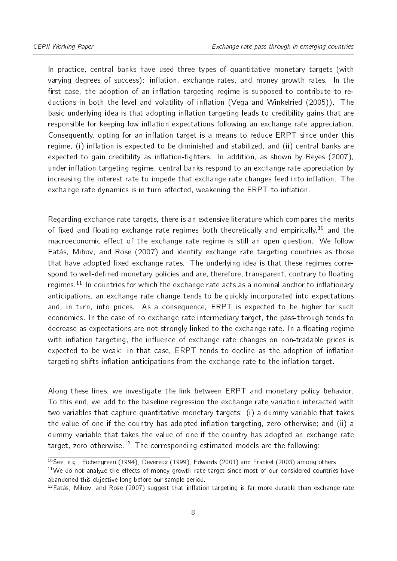In practice, central banks have used three types of quantitative monetary targets (with varying degrees of success): inflation, exchange rates, and money growth rates. In the first case, the adoption of an inflation targeting regime is supposed to contribute to re-ductions in both the level and volatility of inflation [\(Vega and Winkelried](#page-29-4) [\(2005\)](#page-29-4)). The basic underlying idea is that adopting inflation targeting leads to credibility gains that are responsible for keeping low inflation expectations following an exchange rate appreciation. Consequently, opting for an inflation target is a means to reduce ERPT since under this regime, (i) inflation is expected to be diminished and stabilized, and (ii) central banks are expected to gain credibility as inflation-fighters. In addition, as shown by [Reyes](#page-29-5) [\(2007\)](#page-29-5), under inflation targeting regime, central banks respond to an exchange rate appreciation by increasing the interest rate to impede that exchange rate changes feed into inflation. The exchange rate dynamics is in turn affected, weakening the ERPT to inflation.

Regarding exchange rate targets, there is an extensive literature which compares the merits of fixed and floating exchange rate regimes both theoretically and empirically,<sup>[10](#page-7-0)</sup> and the macroeconomic effect of the exchange rate regime is still an open question. We follow [Fatás, Mihov, and Rose](#page-28-7) [\(2007\)](#page-28-7) and identify exchange rate targeting countries as those that have adopted fixed exchange rates. The underlying idea is that these regimes correspond to well-defined monetary policies and are, therefore, transparent, contrary to floating regimes.<sup>[11](#page-7-1)</sup> In countries for which the exchange rate acts as a nominal anchor to inflationary anticipations, an exchange rate change tends to be quickly incorporated into expectations and, in turn, into prices. As a consequence, ERPT is expected to be higher for such economies. In the case of no exchange rate intermediary target, the pass-through tends to decrease as expectations are not strongly linked to the exchange rate. In a floating regime with inflation targeting, the influence of exchange rate changes on non-tradable prices is expected to be weak: in that case,  $ERPT$  tends to decline as the adoption of inflation targeting shifts inflation anticipations from the exchange rate to the inflation target.

Along these lines, we investigate the link between ERPT and monetary policy behavior. To this end, we add to the baseline regression the exchange rate variation interacted with two variables that capture quantitative monetary targets: (i) a dummy variable that takes the value of one if the country has adopted inflation targeting, zero otherwise; and (ii) a dummy variable that takes the value of one if the country has adopted an exchange rate target, zero otherwise.<sup>[12](#page-7-2)</sup> The corresponding estimated models are the following:

<span id="page-7-0"></span><sup>&</sup>lt;sup>10</sup>See, e.g., [Eichengreen](#page-28-8) [\(1994\)](#page-28-8), [Devereux](#page-28-9) [\(1999\)](#page-28-9), [Edwards](#page-28-10) [\(2001\)](#page-28-10) and [Frankel](#page-28-11) [\(2003\)](#page-28-11) among others.

<span id="page-7-1"></span> $11$ We do not analyze the effects of money growth rate target since most of our considered countries have abandoned this objective long before our sample period.

<span id="page-7-2"></span> $12$ [Fatás, Mihov, and Rose](#page-28-7) [\(2007\)](#page-28-7) suggest that inflation targeting is far more durable than exchange rate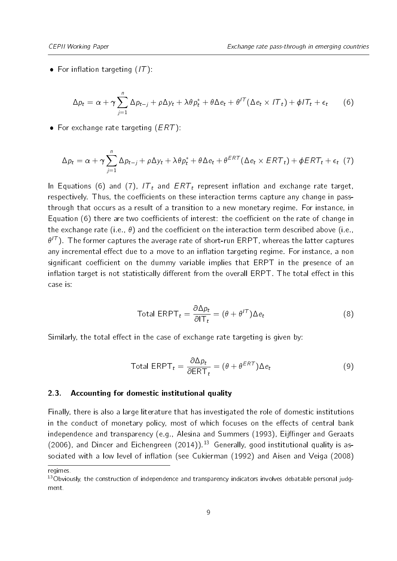<span id="page-8-0"></span>• For inflation targeting  $(1T)$ :

$$
\Delta p_t = \alpha + \gamma \sum_{j=1}^n \Delta p_{t-j} + \rho \Delta y_t + \lambda \theta p_t^* + \theta \Delta e_t + \theta^{T} (\Delta e_t \times T_t) + \phi T_t + \epsilon_t \qquad (6)
$$

<span id="page-8-1"></span>• For exchange rate targeting  $(ERT)$ :

$$
\Delta p_t = \alpha + \gamma \sum_{j=1}^n \Delta p_{t-j} + \rho \Delta y_t + \lambda \theta p_t^* + \theta \Delta e_t + \theta^{ERT} (\Delta e_t \times ERT_t) + \phi ERT_t + \epsilon_t
$$
 (7)

In Equations [\(6\)](#page-8-0) and [\(7\)](#page-8-1),  $IT_t$  and  $ERT_t$  represent inflation and exchange rate target, respectively. Thus, the coefficients on these interaction terms capture any change in passthrough that occurs as a result of a transition to a new monetary regime. For instance, in Equation  $(6)$  there are two coefficients of interest: the coefficient on the rate of change in the exchange rate (i.e.,  $\theta$ ) and the coefficient on the interaction term described above (i.e.,  $\theta^{T}$ ). The former captures the average rate of short-run ERPT, whereas the latter captures any incremental effect due to a move to an inflation targeting regime. For instance, a non significant coefficient on the dummy variable implies that ERPT in the presence of an inflation target is not statistically different from the overall  $ERPT$ . The total effect in this case is:

$$
\text{Total ERPT}_t = \frac{\partial \Delta p_t}{\partial \mathbf{T}_t} = (\theta + \theta^{T}) \Delta e_t \tag{8}
$$

Similarly, the total effect in the case of exchange rate targeting is given by:

$$
\text{Total ERPT}_t = \frac{\partial \Delta p_t}{\partial \text{ERT}_t} = (\theta + \theta^{ERT}) \Delta e_t \tag{9}
$$

#### 2.3. Accounting for domestic institutional quality

Finally, there is also a large literature that has investigated the role of domestic institutions in the conduct of monetary policy, most of which focuses on the effects of central bank independence and transparency (e.g., [Alesina and Summers](#page-27-6) [\(1993\)](#page-27-6), Eijffinger and Geraats [\(2006\)](#page-28-12), and [Dincer and Eichengreen](#page-28-13) [\(2014\)](#page-28-13)).<sup>[13](#page-8-2)</sup> Generally, good institutional quality is as-sociated with a low level of inflation (see [Cukierman](#page-27-7) [\(1992\)](#page-27-7) and [Aisen and Veiga](#page-27-8) [\(2008\)](#page-27-8)

regimes.

<span id="page-8-2"></span><sup>&</sup>lt;sup>13</sup>Obviously, the construction of independence and transparency indicators involves debatable personal judgment.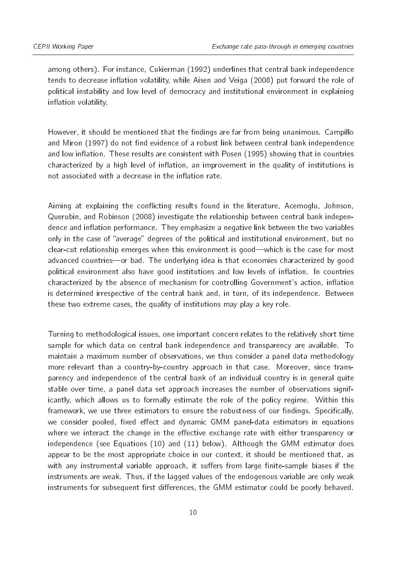among others). For instance, [Cukierman](#page-27-7) [\(1992\)](#page-27-7) underlines that central bank independence tends to decrease inflation volatility, while [Aisen and Veiga](#page-27-8) [\(2008\)](#page-27-8) put forward the role of political instability and low level of democracy and institutional environment in explaining inflation volatility.

However, it should be mentioned that the findings are far from being unanimous. [Campillo](#page-27-9) [and Miron](#page-27-9) [\(1997\)](#page-27-9) do not find evidence of a robust link between central bank independence and low inflation. These results are consistent with [Posen](#page-29-6) [\(1995\)](#page-29-6) showing that in countries characterized by a high level of inflation, an improvement in the quality of institutions is not associated with a decrease in the inflation rate.

Aiming at explaining the conflicting results found in the literature, [Acemoglu, Johnson,](#page-27-10) [Querubin, and Robinson](#page-27-10) [\(2008\)](#page-27-10) investigate the relationship between central bank independence and inflation performance. They emphasize a negative link between the two variables only in the case of "average" degrees of the political and institutional environment, but no clear-cut relationship emerges when this environment is good—which is the case for most advanced countries—or bad. The underlying idea is that economies characterized by good political environment also have good institutions and low levels of inflation. In countries characterized by the absence of mechanism for controlling Government's action, inflation is determined irrespective of the central bank and, in turn, of its independence. Between these two extreme cases, the quality of institutions may play a key role.

Turning to methodological issues, one important concern relates to the relatively short time sample for which data on central bank independence and transparency are available. To maintain a maximum number of observations, we thus consider a panel data methodology more relevant than a country-by-country approach in that case. Moreover, since transparency and independence of the central bank of an individual country is in general quite stable over time, a panel data set approach increases the number of observations significantly, which allows us to formally estimate the role of the policy regime. Within this framework, we use three estimators to ensure the robustness of our findings. Specifically, we consider pooled, fixed effect and dynamic GMM panel-data estimators in equations where we interact the change in the effective exchange rate with either transparency or independence (see Equations [\(10\)](#page-10-1) and [\(11\)](#page-10-2) below). Although the GMM estimator does appear to be the most appropriate choice in our context, it should be mentioned that, as with any instrumental variable approach, it suffers from large finite-sample biases if the instruments are weak. Thus, if the lagged values of the endogenous variable are only weak instruments for subsequent first differences, the GMM estimator could be poorly behaved.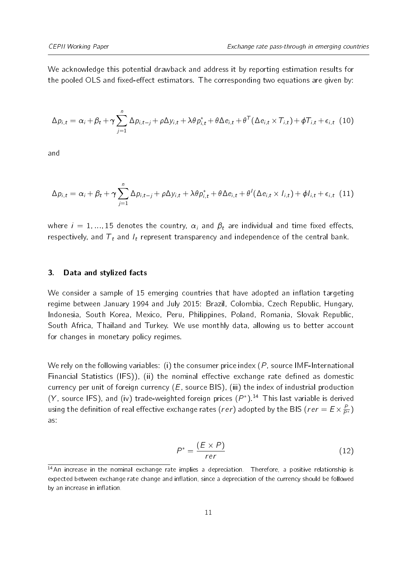<span id="page-10-1"></span>We acknowledge this potential drawback and address it by reporting estimation results for the pooled OLS and fixed-effect estimators. The corresponding two equations are given by:

$$
\Delta p_{i,t} = \alpha_i + \beta_t + \gamma \sum_{j=1}^n \Delta p_{i,t-j} + \rho \Delta y_{i,t} + \lambda \theta p_{i,t}^* + \theta \Delta e_{i,t} + \theta^{\mathsf{T}} (\Delta e_{i,t} \times \mathcal{T}_{i,t}) + \phi \mathcal{T}_{i,t} + \epsilon_{i,t} \tag{10}
$$

<span id="page-10-2"></span>and

$$
\Delta p_{i,t} = \alpha_i + \beta_t + \gamma \sum_{j=1}^n \Delta p_{i,t-j} + \rho \Delta y_{i,t} + \lambda \theta p_{i,t}^* + \theta \Delta e_{i,t} + \theta^{\dagger} (\Delta e_{i,t} \times I_{i,t}) + \phi I_{i,t} + \epsilon_{i,t} (11)
$$

where  $i = 1, ..., 15$  denotes the country,  $\alpha_i$  and  $\beta_t$  are individual and time fixed effects, respectively, and  $T_t$  and  $I_t$  represent transparency and independence of the central bank.

#### <span id="page-10-0"></span>3. Data and stylized facts

We consider a sample of 15 emerging countries that have adopted an inflation targeting regime between January 1994 and July 2015: Brazil, Colombia, Czech Republic, Hungary, Indonesia, South Korea, Mexico, Peru, Philippines, Poland, Romania, Slovak Republic, South Africa, Thailand and Turkey. We use monthly data, allowing us to better account for changes in monetary policy regimes.

We rely on the following variables: (i) the consumer price index  $(P)$ , source IMF-International Financial Statistics (IFS)), (ii) the nominal effective exchange rate defined as domestic currency per unit of foreign currency  $(E, \text{source BIS})$ , (iii) the index of industrial production (Y, source IFS), and (iv) trade-weighted foreign prices  $(P^*)$ .<sup>[14](#page-10-3)</sup> This last variable is derived using the definition of real effective exchange rates ( $rer$ ) adopted by the BIS ( $rer = E \times \frac{P}{P^*}$ ) as:

$$
P^* = \frac{(E \times P)}{rer} \tag{12}
$$

<span id="page-10-3"></span><sup>&</sup>lt;sup>14</sup>An increase in the nominal exchange rate implies a depreciation. Therefore, a positive relationship is expected between exchange rate change and inflation, since a depreciation of the currency should be followed by an increase in inflation.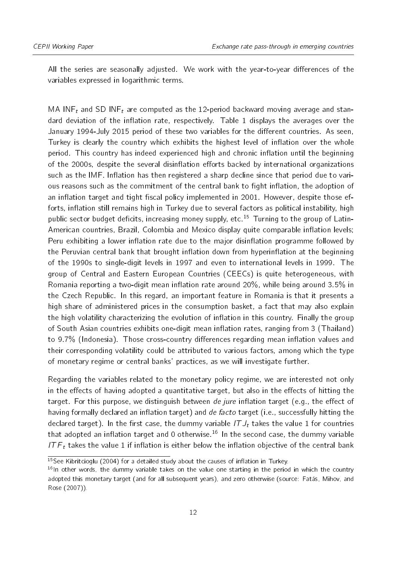All the series are seasonally adjusted. We work with the year-to-year differences of the variables expressed in logarithmic terms.

MA INF<sub>t</sub> and SD INF<sub>t</sub> are computed as the 12-period backward moving average and stan-dard deviation of the inflation rate, respectively. Table [1](#page-12-0) displays the averages over the January 1994-July 2015 period of these two variables for the different countries. As seen, Turkey is clearly the country which exhibits the highest level of inflation over the whole period. This country has indeed experienced high and chronic inflation until the beginning of the 2000s, despite the several disinflation efforts backed by international organizations such as the IMF. Inflation has then registered a sharp decline since that period due to various reasons such as the commitment of the central bank to fight inflation, the adoption of an inflation target and tight fiscal policy implemented in 2001. However, despite those efforts, inflation still remains high in Turkey due to several factors as political instability, high public sector budget deficits, increasing money supply, etc.<sup>[15](#page-11-0)</sup> Turning to the group of Latin-American countries, Brazil, Colombia and Mexico display quite comparable inflation levels; Peru exhibiting a lower inflation rate due to the major disinflation programme followed by the Peruvian central bank that brought inflation down from hyperinflation at the beginning of the 1990s to single-digit levels in 1997 and even to international levels in 1999. The group of Central and Eastern European Countries (CEECs) is quite heterogeneous, with Romania reporting a two-digit mean inflation rate around  $20\%$ , while being around  $3.5\%$  in the Czech Republic. In this regard, an important feature in Romania is that it presents a high share of administered prices in the consumption basket, a fact that may also explain the high volatility characterizing the evolution of inflation in this country. Finally the group of South Asian countries exhibits one-digit mean inflation rates, ranging from 3 (Thailand) to  $9.7\%$  (Indonesia). Those cross-country differences regarding mean inflation values and their corresponding volatility could be attributed to various factors, among which the type of monetary regime or central banks' practices, as we will investigate further.

Regarding the variables related to the monetary policy regime, we are interested not only in the effects of having adopted a quantitative target, but also in the effects of hitting the target. For this purpose, we distinguish between de jure inflation target (e.g., the effect of having formally declared an inflation target) and de facto target (i.e., successfully hitting the declared target). In the first case, the dummy variable  $ITJ_t$  takes the value 1 for countries that adopted an inflation target and 0 otherwise.<sup>[16](#page-11-1)</sup> In the second case, the dummy variable IT  $F_t$  takes the value 1 if inflation is either below the inflation objective of the central bank

<span id="page-11-0"></span> $15$ See [Kibritcioglu](#page-28-14) [\(2004\)](#page-28-14) for a detailed study about the causes of inflation in Turkey.

<span id="page-11-1"></span><sup>&</sup>lt;sup>16</sup>In other words, the dummy variable takes on the value one starting in the period in which the country adopted this monetary target (and for all subsequent years), and zero otherwise (source: [Fatás, Mihov, and](#page-28-7) [Rose](#page-28-7) [\(2007\)](#page-28-7)).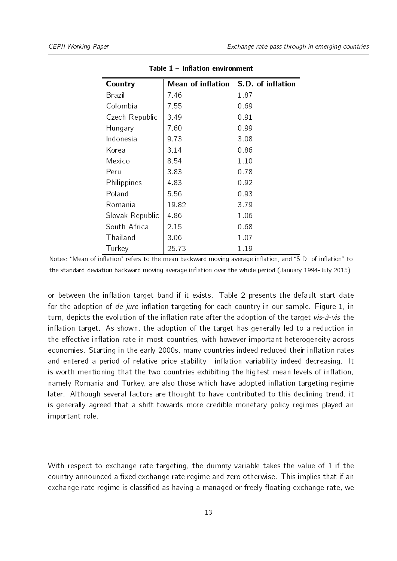<span id="page-12-0"></span>

| Country         | <b>Mean of inflation</b> | S.D. of inflation |
|-----------------|--------------------------|-------------------|
| Brazil          | 7.46                     | 187               |
| Colombia        | 7.55                     | 0.69              |
| Czech Republic  | 3.49                     | 0.91              |
| Hungary         | 7.60                     | 0.99              |
| Indonesia       | 9.73                     | 3.08              |
| Korea           | 3.14                     | 0.86              |
| Mexico          | 8.54                     | 1.10              |
| Peru            | 3.83                     | 0.78              |
| Philippines     | 4.83                     | 0 9 2             |
| Poland          | 5.56                     | 0 9 3             |
| Romania         | 19.82                    | 3.79              |
| Slovak Republic | 486                      | 1.06              |
| South Africa    | 2.15                     | 0.68              |
| Thailand        | 3.06                     | 107               |
| Turkey          | 25.73                    | 1.19              |

Table  $1$  – Inflation environment

Notes: "Mean of inflation" refers to the mean backward moving average inflation, and " $\overline{S}$  D. of inflation" to the standard deviation backward moving average inflation over the whole period (January 1994-July 2015).

or between the inflation target band if it exists. Table [2](#page-14-0) presents the default start date for the adoption of de jure inflation targeting for each country in our sample. Figure [1,](#page-13-0) in turn, depicts the evolution of the inflation rate after the adoption of the target vis- $\hat{a}$ -vis the inflation target. As shown, the adoption of the target has generally led to a reduction in the effective inflation rate in most countries, with however important heterogeneity across economies. Starting in the early 2000s, many countries indeed reduced their inflation rates and entered a period of relative price stability—inflation variability indeed decreasing. It is worth mentioning that the two countries exhibiting the highest mean levels of inflation, namely Romania and Turkey, are also those which have adopted inflation targeting regime later. Although several factors are thought to have contributed to this declining trend, it is generally agreed that a shift towards more credible monetary policy regimes played an important role.

With respect to exchange rate targeting, the dummy variable takes the value of 1 if the country announced a fixed exchange rate regime and zero otherwise. This implies that if an exchange rate regime is classified as having a managed or freely floating exchange rate, we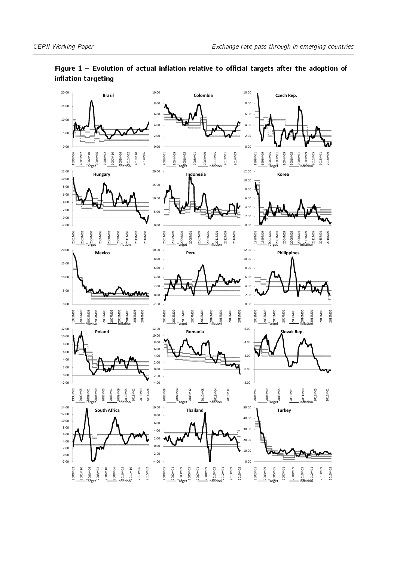

<span id="page-13-0"></span>Figure  $1$  - Evolution of actual inflation relative to official targets after the adoption of inflation targeting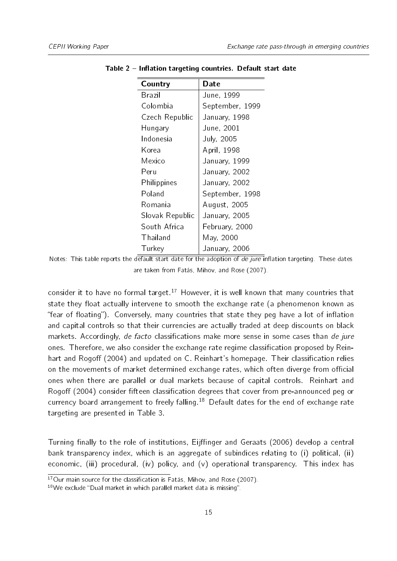| Country         | Date            |
|-----------------|-----------------|
| <b>Brazil</b>   | June, 1999      |
| Colombia        | September, 1999 |
| Czech Republic  | January, 1998   |
| Hungary         | June, 2001      |
| Indonesia       | July, 2005      |
| Korea           | April, 1998     |
| Mexico          | January, 1999   |
| Peru            | January, 2002   |
| Philippines     | January, 2002   |
| Poland          | September, 1998 |
| Romania         | August, 2005    |
| Slovak Republic | January, 2005   |
| South Africa    | February, 2000  |
| Thailand        | May, 2000       |
| Turkey          | January, 2006   |

<span id="page-14-0"></span>Table 2 – Inflation targeting countries. Default start date

consider it to have no formal target.<sup>[17](#page-14-1)</sup> However, it is well known that many countries that state they float actually intervene to smooth the exchange rate (a phenomenon known as "fear of floating"). Conversely, many countries that state they peg have a lot of inflation and capital controls so that their currencies are actually traded at deep discounts on black markets. Accordingly, de facto classifications make more sense in some cases than de jure ones. Therefore, we also consider the exchange rate regime classification proposed by [Rein](#page-29-7)[hart and Rogo](#page-29-7)ff [\(2004\)](#page-29-7) and updated on C. Reinhart's homepage. Their classification relies on the movements of market determined exchange rates, which often diverge from official ones when there are parallel or dual markets because of capital controls. [Reinhart and](#page-29-7) [Rogo](#page-29-7)ff [\(2004\)](#page-29-7) consider fifteen classification degrees that cover from pre-announced peg or currency board arrangement to freely falling.<sup>[18](#page-14-2)</sup> Default dates for the end of exchange rate targeting are presented in Table [3.](#page-15-1)

Turning finally to the role of institutions, Eijffinger and Geraats [\(2006\)](#page-28-12) develop a central bank transparency index, which is an aggregate of subindices relating to (i) political, (ii) economic, (iii) procedural, (iv) policy, and (v) operational transparency. This index has

Notes: This table reports the default start date for the adoption of  $de$  jure inflation targeting. These dates are taken from [Fatás, Mihov, and Rose](#page-28-7) [\(2007\)](#page-28-7).

<span id="page-14-1"></span> $17$ Our main source for the classification is [Fatás, Mihov, and Rose](#page-28-7) [\(2007\)](#page-28-7).

<span id="page-14-2"></span> $18$ We exclude "Dual market in which parallel market data is missing".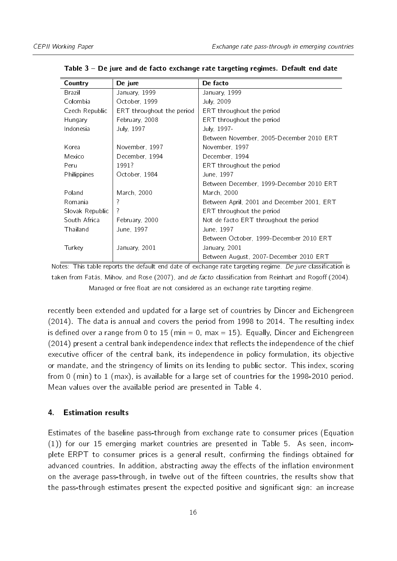| Country         | De jure                   | De facto                                   |
|-----------------|---------------------------|--------------------------------------------|
| Brazil          | January, 1999             | January, 1999                              |
| Colombia        | October, 1999             | July, 2009                                 |
| Czech Republic  | ERT throughout the period | ERT throughout the period                  |
| Hungary         | February, 2008            | ERT throughout the period                  |
| Indonesia       | July, 1997                | July, 1997-                                |
|                 |                           | Between November, 2005-December 2010 ERT   |
| Korea           | November, 1997            | November, 1997                             |
| Mexico          | December, 1994            | December, 1994                             |
| Peru            | 1991?                     | ERT throughout the period                  |
| Philippines     | October, 1984             | June, 1997                                 |
|                 |                           | Between December, 1999-December 2010 ERT   |
| Poland          | March, 2000               | March, 2000                                |
| Romania         | 7                         | Between April, 2001 and December 2001, ERT |
| Slovak Republic | 7                         | ERT throughout the period                  |
| South Africa    | February, 2000            | Not de facto ERT throughout the period     |
| Thailand        | June, 1997                | June, 1997                                 |
|                 |                           | Between October, 1999-December 2010 ERT    |
| Turkey          | January, 2001             | January, 2001                              |
|                 |                           | Between August, 2007-December 2010 ERT     |

<span id="page-15-1"></span>Table 3 De jure and de facto exchange rate targeting regimes. Default end date

Notes: This table reports the default end date of exchange rate targeting regime. De jure classification is taken from [Fatás, Mihov, and Rose](#page-28-7) [\(2007\)](#page-28-7), and de facto classification from [Reinhart and Rogo](#page-29-7)ff [\(2004\)](#page-29-7). Managed or free float are not considered as an exchange rate targeting regime.

recently been extended and updated for a large set of countries by [Dincer and Eichengreen](#page-28-13) [\(2014\)](#page-28-13). The data is annual and covers the period from 1998 to 2014. The resulting index is defined over a range from 0 to 15 (min = 0, max = 15). Equally, [Dincer and Eichengreen](#page-28-13)  $(2014)$  present a central bank independence index that reflects the independence of the chief executive officer of the central bank, its independence in policy formulation, its objective or mandate, and the stringency of limits on its lending to public sector. This index, scoring from 0 (min) to 1 (max), is available for a large set of countries for the 1998-2010 period. Mean values over the available period are presented in Table [4.](#page-16-0)

#### <span id="page-15-0"></span>4. Estimation results

Estimates of the baseline pass-through from exchange rate to consumer prices (Equation [\(1\)](#page-4-3)) for our 15 emerging market countries are presented in Table [5.](#page-17-0) As seen, incomplete ERPT to consumer prices is a general result, confirming the findings obtained for advanced countries. In addition, abstracting away the effects of the inflation environment on the average pass-through, in twelve out of the fifteen countries, the results show that the pass-through estimates present the expected positive and significant sign: an increase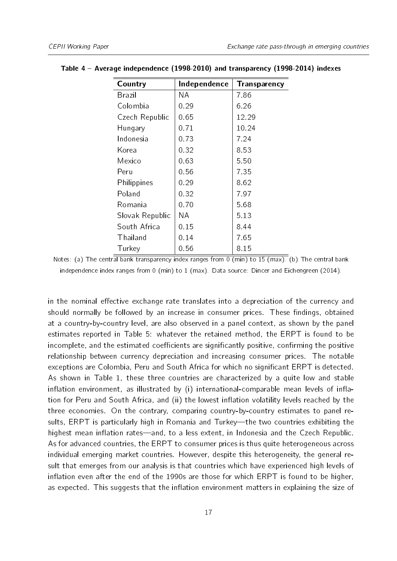| Country         | Independence | Transparency |
|-----------------|--------------|--------------|
| Brazil          | NА           | 786          |
| Colombia        | 0.29         | 6.26         |
| Czech Republic  | 0.65         | 12.29        |
| Hungary         | 0.71         | 10.24        |
| Indonesia       | 073          | 7 24         |
| Korea           | 0.32         | 8.53         |
| Mexico          | 0.63         | 550          |
| Peru            | 0.56         | 7.35         |
| Philippines     | 0.29         | 862          |
| Poland          | 0.32         | 797          |
| Romania         | 0.70         | 5.68         |
| Slovak Republic | NА           | 5 1 3        |
| South Africa    | 0 15         | 844          |
| Thailand        | 0.14         | 7.65         |
| Turkey          | 0.56         | 8.15         |

#### <span id="page-16-0"></span>Table 4 Average independence (1998-2010) and transparency (1998-2014) indexes

Notes: (a) The central bank transparency index ranges from 0 (min) to 15 (max). (b) The central bank independence index ranges from 0 (min) to 1 (max). Data source: [Dincer and Eichengreen](#page-28-13) [\(2014\)](#page-28-13).

in the nominal effective exchange rate translates into a depreciation of the currency and should normally be followed by an increase in consumer prices. These findings, obtained at a country-by-country level, are also observed in a panel context, as shown by the panel estimates reported in Table [5:](#page-17-0) whatever the retained method, the ERPT is found to be incomplete, and the estimated coefficients are significantly positive, confirming the positive relationship between currency depreciation and increasing consumer prices. The notable exceptions are Colombia, Peru and South Africa for which no significant ERPT is detected. As shown in Table [1,](#page-12-0) these three countries are characterized by a quite low and stable inflation environment, as illustrated by  $(i)$  international-comparable mean levels of inflation for Peru and South Africa, and (ii) the lowest inflation volatility levels reached by the three economies. On the contrary, comparing country-by-country estimates to panel results, ERPT is particularly high in Romania and Turkey—the two countries exhibiting the highest mean inflation rates—and, to a less extent, in Indonesia and the Czech Republic. As for advanced countries, the ERPT to consumer prices is thus quite heterogeneous across individual emerging market countries. However, despite this heterogeneity, the general result that emerges from our analysis is that countries which have experienced high levels of inflation even after the end of the 1990s are those for which ERPT is found to be higher, as expected. This suggests that the inflation environment matters in explaining the size of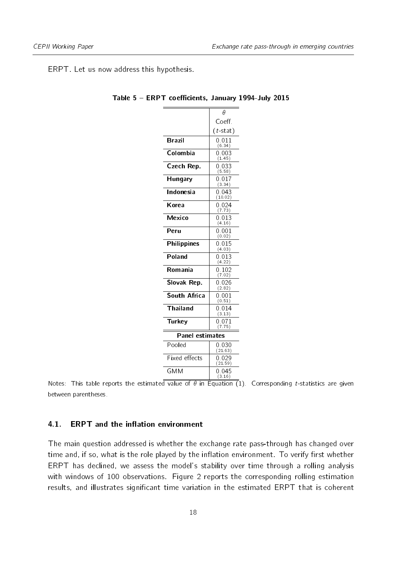<span id="page-17-0"></span>ERPT. Let us now address this hypothesis.

|                     | θ                   |
|---------------------|---------------------|
|                     | Coeff.              |
|                     | $(t$ -stat)         |
| <b>Brazil</b>       | 0.011<br>(6.34)     |
| Colombia            | 0.003<br>(1.45)     |
| Czech Rep.          | 0.033<br>(5.58)     |
| Hungary             | 0.017<br>(3.34)     |
| Indonesia           | 0.043<br>(10.02)    |
| Korea               | 0.024<br>(7.73)     |
| Mexico              | 0.013<br>(4.16)     |
| Peru                | $0.001\,$<br>(0.02) |
| Philippines         | 0.015<br>(4.03)     |
| Poland              | 0.013<br>(4.22)     |
| Romania             | 0.102<br>(7.02)     |
| Slovak Rep.         | 0.026<br>(2.82)     |
| <b>South Africa</b> | 0.001<br>(0.51)     |
| Thailand            | 0.014<br>(3.13)     |
| Turkey              | 0.071<br>(7.75)     |
| Panel estimates     |                     |
| Pooled              | 0.030<br>(21.63)    |
| Fixed effects       | 0.029<br>(21.59)    |
| <b>GMM</b>          | 0.045<br>(3.16)     |

Table 5 - ERPT coefficients, January 1994-July 2015

Notes: This table reports the estimated value of  $\theta$  in Equation [\(1\)](#page-4-3). Corresponding t-statistics are given between parentheses.

#### 4.1. ERPT and the inflation environment

The main question addressed is whether the exchange rate pass-through has changed over time and, if so, what is the role played by the inflation environment. To verify first whether ERPT has declined, we assess the model's stability over time through a rolling analysis with windows of 100 observations. Figure [2](#page-19-0) reports the corresponding rolling estimation results, and illustrates significant time variation in the estimated ERPT that is coherent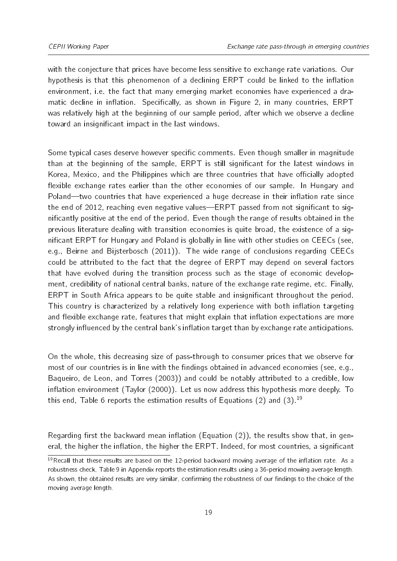with the conjecture that prices have become less sensitive to exchange rate variations. Our hypothesis is that this phenomenon of a declining ERPT could be linked to the inflation environment, i.e. the fact that many emerging market economies have experienced a dra-matic decline in inflation. Specifically, as shown in Figure [2,](#page-19-0) in many countries,  $ERPT$ was relatively high at the beginning of our sample period, after which we observe a decline toward an insignificant impact in the last windows.

Some typical cases deserve however specific comments. Even though smaller in magnitude than at the beginning of the sample, ERPT is still significant for the latest windows in Korea, Mexico, and the Philippines which are three countries that have officially adopted flexible exchange rates earlier than the other economies of our sample. In Hungary and Poland—two countries that have experienced a huge decrease in their inflation rate since the end of 2012, reaching even negative values—ERPT passed from not significant to signicantly positive at the end of the period. Even though the range of results obtained in the previous literature dealing with transition economies is quite broad, the existence of a significant ERPT for Hungary and Poland is globally in line with other studies on CEECs (see, e.g., [Beirne and Bijsterbosch](#page-27-11) [\(2011\)](#page-27-11)). The wide range of conclusions regarding CEECs could be attributed to the fact that the degree of ERPT may depend on several factors that have evolved during the transition process such as the stage of economic development, credibility of national central banks, nature of the exchange rate regime, etc. Finally, ERPT in South Africa appears to be quite stable and insignificant throughout the period. This country is characterized by a relatively long experience with both inflation targeting and flexible exchange rate, features that might explain that inflation expectations are more strongly influenced by the central bank's inflation target than by exchange rate anticipations.

On the whole, this decreasing size of pass-through to consumer prices that we observe for most of our countries is in line with the findings obtained in advanced economies (see, e.g., [Baqueiro, de Leon, and Torres](#page-27-12) [\(2003\)](#page-27-12)) and could be notably attributed to a credible, low inflation environment [\(Taylor](#page-29-2) [\(2000\)](#page-29-2)). Let us now address this hypothesis more deeply. To this end, Table [6](#page-20-0) reports the estimation results of Equations [\(2\)](#page-5-1) and [\(3\)](#page-6-0).<sup>[19](#page-18-0)</sup>

Regarding first the backward mean inflation (Equation  $(2)$ ), the results show that, in general, the higher the inflation, the higher the ERPT. Indeed, for most countries, a significant

<span id="page-18-0"></span> $19$ Recall that these results are based on the 12-period backward moving average of the inflation rate. As a robustness check, Table [9](#page-31-0) in Appendix reports the estimation results using a 36-period mowing average length. As shown, the obtained results are very similar, confirming the robustness of our findings to the choice of the moving average length.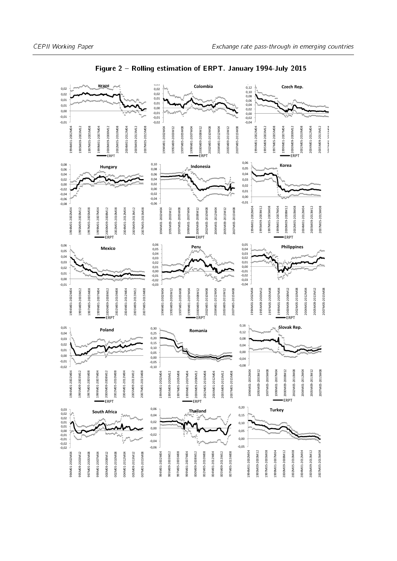<span id="page-19-0"></span>

#### Figure 2 - Rolling estimation of ERPT. January 1994-July 2015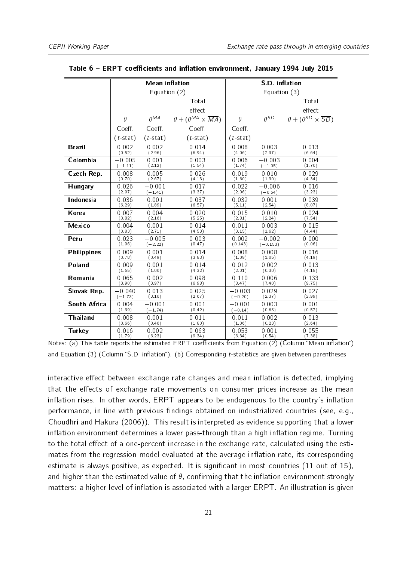|                     |                   | <b>Mean inflation</b> |                                               |             | S.D. inflation |                                               |
|---------------------|-------------------|-----------------------|-----------------------------------------------|-------------|----------------|-----------------------------------------------|
|                     |                   | Equation (2)          |                                               |             | Equation (3)   |                                               |
|                     |                   |                       | Total                                         |             |                | Total                                         |
|                     |                   |                       | effect                                        |             |                | effect                                        |
|                     | $\theta$          | Aeta                  | $\theta + (\theta^{MA} \times \overline{MA})$ | $\theta$    | $A^{SD}$       | $\theta + (\theta^{SD} \times \overline{SD})$ |
|                     | Coeff.            | Coeff.                | Coeff.                                        | Coeff.      |                |                                               |
|                     | ( <i>t</i> -stat) | $(t$ -stat)           | (t-stat)                                      | $(t$ -stat) |                |                                               |
| <b>Brazil</b>       | 0.002             | 0.002                 | 0.014                                         | 0.008       | 0.003          | 0.013                                         |
|                     | (0.52)            | (2.96)                | (6.94)                                        | (4.06)      | (2.37)         | (6.64)                                        |
| Colombia            | $-0.005$          | 0.001                 | 0.003                                         | 0.006       | $-0.003$       | 0.004                                         |
|                     | $(-1.11)$         | (2.12)                | (1.54)                                        | (1.74)      | $(-1.05)$      | (1.70)                                        |
| Czech Rep.          | 0.008             | 0.005                 | 0.026                                         | 0.019       | 0.010          | 0.029                                         |
|                     | (0.70)            | (2.67)                | (4.13)                                        | (1.60)      | (1.30)         | (4.34)                                        |
| Hungary             | 0.026             | $-0.001$              | 0.017                                         | 0.022       | $-0.006$       | 0.016                                         |
|                     | (2.97)            | $(-1.41)$             | (3.37)                                        | (2.06)      | $(-0.64)$      | (3.23)                                        |
| Indonesia           | 0.036             | 0.001                 | 0.037                                         | 0.032       | 0.001          | 0.039                                         |
|                     | (6.29)            | (1.89)                | (6.57)                                        | (5.11)      | (2.54)         | (8.07)                                        |
| Korea               | 0.007             | 0.004                 | 0.020                                         | 0.015       | 0.010          | 0.024                                         |
|                     | (0.82)            | (2.16)                | (5.25)                                        | (2.81)      | (2.24)         | (7.54)                                        |
| <b>Mexico</b>       | 0.004             | 0.001                 | 0.014                                         | 0.011       | 0.003          | 0.015                                         |
|                     | (0.83)            | (2.71)                | (4.53)                                        | (3.15)      | (1.62)         | (4.44)                                        |
| Peru                | 0.023             | $-0.005$              | 0.003                                         | 0.002       | $-0.002$       | 0.000                                         |
|                     | (1.96)            | $(-2.22)$             | (0.47)                                        | (0.143)     | $(-0.153)$     | (0.06)                                        |
| <b>Philippines</b>  | 0.009             | 0.001                 | 0.014                                         | 0.008       | 0.008          | 0.016                                         |
|                     | (0.78)            | (0.49)                | (3.83)                                        | (1.09)      | (1.05)         | (4.19)                                        |
| Poland              | 0.009             | 0.001                 | 0.014                                         | 0.012       | 0.002          | 0.013                                         |
|                     | (1.65)            | (1.00)                | (4.32)                                        | (2.01)      | (0.30)         | (4.18)                                        |
| Romania             | 0.065             | 0.002                 | 0.098                                         | 0.110       | 0.006          | 0.133                                         |
|                     | (3.90)            | (3.97)                | (6.98)                                        | (8.47)      | (7.40)         | (9.75)                                        |
| Slovak Rep.         | $-0.040$          | 0.013                 | 0.025                                         | $-0.003$    | 0.029          | 0.027                                         |
|                     | $(-1.73)$         | (3.10)                | (2.67)                                        | $(-0.20)$   | (2.37)         | (2.99)                                        |
| <b>South Africa</b> | 0.004             | $-0.001$              | 0.001                                         | $-0.001$    | 0.003          | 0.001                                         |
|                     | (1.39)            | $(-1.74)$             | (0.42)                                        | $(-0.14)$   | (0.63)         | (0.57)                                        |
| <b>Thailand</b>     | 0.008             | 0.001                 | 0.011                                         | 0.011       | 0.002          | 0.013                                         |
|                     | (0.66)            | (0.46)                | (1.80)                                        | (1.06)      | (0.23)         | (2.64)                                        |
| <b>Turkey</b>       | 0.016             | 0.002                 | 0.063                                         | 0.053       | 0.001          | 0.055                                         |
|                     | (1.79)            | (6.23)                | (9.34)                                        | (6.34)      | (0.54)         | (7.38)                                        |

<span id="page-20-0"></span>Table 6 - ERPT coefficients and inflation environment, January 1994-July 2015

Notes: (a) This table reports the estimated ERPT coefficients from Equation [\(2\)](#page-5-1) (Column "Mean inflation") and Equation [\(3\)](#page-6-0) (Column "S.D. inflation"). (b) Corresponding  $t$ -statistics are given between parentheses.

interactive effect between exchange rate changes and mean inflation is detected, implying that the effects of exchange rate movements on consumer prices increase as the mean inflation rises. In other words, ERPT appears to be endogenous to the country's inflation performance, in line with previous findings obtained on industrialized countries (see, e.g., [Choudhri and Hakura](#page-27-5) [\(2006\)](#page-27-5)). This result is interpreted as evidence supporting that a lower inflation environment determines a lower pass-through than a high inflation regime. Turning to the total effect of a one-percent increase in the exchange rate, calculated using the estimates from the regression model evaluated at the average inflation rate, its corresponding estimate is always positive, as expected. It is significant in most countries  $(11 \text{ out of } 15)$ , and higher than the estimated value of  $\theta$ , confirming that the inflation environment strongly matters: a higher level of inflation is associated with a larger ERPT. An illustration is given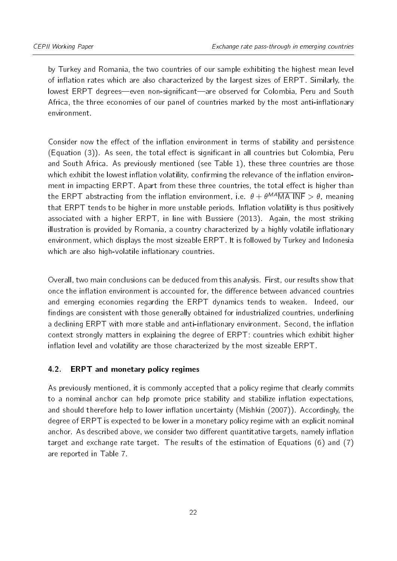by Turkey and Romania, the two countries of our sample exhibiting the highest mean level of inflation rates which are also characterized by the largest sizes of ERPT. Similarly, the lowest ERPT degrees—even non-significant—are observed for Colombia, Peru and South Africa, the three economies of our panel of countries marked by the most anti-inflationary environment.

Consider now the effect of the inflation environment in terms of stability and persistence  $(Equation (3))$  $(Equation (3))$  $(Equation (3))$ . As seen, the total effect is significant in all countries but Colombia, Peru and South Africa. As previously mentioned (see Table [1\)](#page-12-0), these three countries are those which exhibit the lowest inflation volatility, confirming the relevance of the inflation environment in impacting ERPT. Apart from these three countries, the total effect is higher than the ERPT abstracting from the inflation environment, i.e.  $\theta + \theta^{MA} \overline{MA}$  INF  $> \theta$ , meaning that ERPT tends to be higher in more unstable periods. Inflation volatility is thus positively associated with a higher ERPT, in line with [Bussiere](#page-27-13) [\(2013\)](#page-27-13). Again, the most striking illustration is provided by Romania, a country characterized by a highly volatile inflationary environment, which displays the most sizeable ERPT. It is followed by Turkey and Indonesia which are also high-volatile inflationary countries.

Overall, two main conclusions can be deduced from this analysis. First, our results show that once the inflation environment is accounted for, the difference between advanced countries and emerging economies regarding the ERPT dynamics tends to weaken. Indeed, our findings are consistent with those generally obtained for industrialized countries, underlining a declining ERPT with more stable and anti-inflationary environment. Second, the inflation context strongly matters in explaining the degree of ERPT: countries which exhibit higher inflation level and volatility are those characterized by the most sizeable ERPT.

# 4.2. ERPT and monetary policy regimes

As previously mentioned, it is commonly accepted that a policy regime that clearly commits to a nominal anchor can help promote price stability and stabilize inflation expectations, and should therefore help to lower inflation uncertainty [\(Mishkin](#page-29-3) [\(2007\)](#page-29-3)). Accordingly, the degree of ERPT is expected to be lower in a monetary policy regime with an explicit nominal anchor. As described above, we consider two different quantitative targets, namely inflation target and exchange rate target. The results of the estimation of Equations [\(6\)](#page-8-0) and [\(7\)](#page-8-1) are reported in Table [7.](#page-22-0)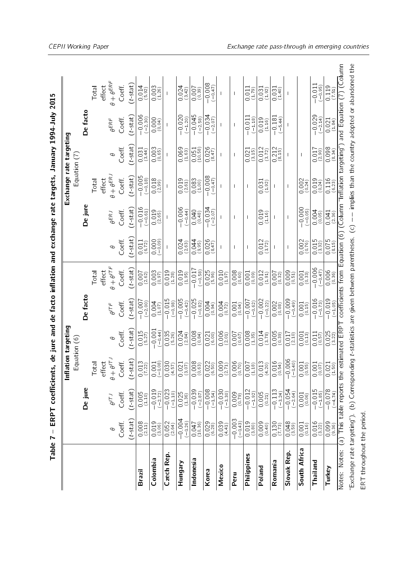| and Equation (7) (Column<br>De facto<br>$-0.006$<br>$(-2.30)$<br>$-0.045$<br>$(-2.58)$<br>$-0.034$<br>$-0.029$<br>$-0.020$<br>$-0.181$<br>$(t$ -stat $)$<br>$-0.011$<br>$(-1.18)$<br>$(-1.20)$<br>$(-5.44)$<br>$(-2.14)$<br>$(-2.07)$<br>Coeff.<br>$0.000$<br>$(0.04)$<br>$\frac{0.019}{(1.16)}$<br><b>AERF</b><br>$0.021$<br>(184)<br>coefficients from Equation (6) (Column "Inflation targeting")<br>$(t$ stat $)$<br>$0.098$<br>$(834)$<br>$\begin{array}{c} 0.003 \\ (0.65) \end{array}$<br>$0.026$<br>(847)<br>$\frac{0.012}{(3.72)}$<br>$\frac{0.212}{(8.15)}$<br>$\frac{0.069}{(1.63)}$<br>$\frac{0.051}{(10.58)}$<br>$^{(662)}_{(100)}$<br>Coeff<br>$0.031$<br>$(3.44)$<br>$\frac{0.021}{(3.15)}$<br>Equation $(7)$<br>Ф<br>$\mathbf{I}$<br>$\theta + \theta^{ERJ}$<br>$-0.005$<br>$(-0.18)$<br>$-0.008$<br>$(-0.47)$<br>$(t - 1)$<br>$\frac{0.018}{(2.99)}$<br>Coeff.<br>$\frac{0.116}{(623)}$<br>effect<br>$0.019$<br>(261)<br>$\begin{array}{c} 0.083 \\ (1.00) \end{array}$<br>$0.002$<br>$(0.24)$<br>$0.019$<br>$(0.24)$<br>Total<br>$\frac{0.031}{(1.92)}$<br>Π<br>De jure<br>$-0.006$<br>$-0.016$<br>$(-0.61)$<br>$-0.000$<br>$-0.034$<br>$(t$ stat $)$<br>$\frac{0.019}{(2.65)}$<br>$(-0.44)$<br>$0.040$<br>$(0.48)$<br>$0.019$<br>(1.16)<br>$(-0.05)$<br>$0.004$<br>$(0.05)$<br>Coeff<br>$(-2.07)$<br>ĄΕRJ<br>$0.041$<br>$(2.36)$<br>$\mathbf{I}$<br>$(t$ stat $)$<br>$0.075$<br>(815)<br>0026<br>$\frac{0.012}{(3.72)}$<br>0.002<br>$\frac{0.015}{(332)}$<br>$\frac{000}{000}$<br>$0.024$<br>$(2.63)$<br>$0.044$<br>(995)<br>Coeff<br>$0.011$<br>$(6.72)$<br>$\boldsymbol{\theta}$<br>$\mathbf l$<br>$\theta + \theta^{I T F}$<br>$-0.006$<br>$(t \mathop\mathrm{stat}\nolimits)$<br>$-0.017$<br>$0.006$<br>$(0.36)$<br>Total<br>effect<br>$0.003$<br>$(0.97)$<br>$0.019$<br>(1.28)<br>$0.019$<br>(195)<br>$0.025$<br>(5.96)<br>$0.008$<br>$(0.60)$<br>$0.009$<br>$(0.51)$<br>$(-0.47)$<br>Coeff.<br>$(-0.58)$<br>$0.010$<br>(197)<br>$0.012$<br>(191)<br>$0.001$<br>$(0.09)$<br>$\frac{0.001}{(0.33)}$<br>$0.007$<br>(2.62)<br>$0.007$<br>$(0.32)$<br>De facto<br>$-0.016$<br>$-0.015$<br>$(-0.98)$<br>$-0.005$<br>$-0.025$<br>$-0.002$<br>$(-0.22)$<br>$-0.009$<br>$-0.019$<br>$(t$ stat)<br>$-0.007$<br>$(-0.62)$<br>$-0.007$<br>$(-2.00)$<br>Coeff<br>$-0.82$ )<br>$0.002$<br>$(0.08)$<br>$\frac{0.004}{(1.07)}$<br>$(-0.42)$<br>$0.004$<br>$(0.94)$<br>$(-0.49)$<br>$(-0.73)$<br>$0.004$<br>$(0.72)$<br>$(-1.05)$<br>$\begin{array}{c} 0.001 \\ (0.15) \end{array}$<br>0.001<br>(0.04)<br>$\theta^{ITF}$<br>Notes: Notes: (a) This table reports the estimated ERPT<br>$(t - 1)$<br>$-0.001$<br>$(-0.44)$<br>$\frac{0.015}{(5.27)}$<br>$\frac{0.035}{(5.26)}$<br>0.008<br>$\frac{0.006}{(201)}$<br>$0.025$<br>$(3.22)$<br>$0.024$<br>(284)<br>$\frac{0.014}{(3.78)}$<br>$0.005$<br>$(0.39)$<br>$\frac{0.008}{(1.35)}$<br>Coeff<br>$0.021$<br>(6.00)<br>$\frac{0.017}{20}$<br>$\frac{0.001}{0.03}$<br>$\frac{0.011}{(0.57)}$<br>$\frac{1000}{1000}$<br>(0.84)<br>Equation (6)<br>Φ<br>$-0.006$<br>Total<br>$\theta + \theta^{I\mathsf{T}}$ -<br>Coeff.<br>$(t - \text{stat})$<br>$\frac{0.013}{(7.22)}$<br>$0.030$<br>(457)<br>$\begin{array}{c} 0.008 \\ (0.63) \end{array}$<br>$0.022$<br>(6.50)<br>$\frac{0.009}{(2.71)}$<br>$^{(0.006)}_{(0.70)}$<br>$0.007$<br>(1.18)<br>$0.013$<br>(4.20)<br>$0.016$<br>$(0.54)$<br>$(-0.40)$<br>$\frac{0.001}{0.000}$<br>effect<br>$\frac{0.001}{(0.55)}$<br>$^{(0.001)}_{(0.07)}$<br>$0.021$<br>(307)<br>$\frac{0.021}{(1.50)}$<br>De jure<br>$-0.008$<br>$(-1.54)$<br>$-0.030$<br>$(-3.30)$<br>$-0.015$<br>$-0.078$<br>( $-4.74$ )<br>$-0.019$<br>$(-2.72)$<br>$-0.023$<br>$(-1.10)$<br>$-0.039$<br>$(-2.87)$<br>$-0.012$<br>$(-1.92)$<br>$-0.113$<br>$-0.054$<br>$(-2.64)$<br>$(t$ stat)<br>0025<br>$(-3.24)$<br>$\frac{0.005}{(1.00)}$<br>$^{(629)}_{(079)}$<br>$0.005$ <sub>(0.21)</sub><br>$(-185)$<br>Coeff<br>$\frac{0.001}{0.06}$<br>$\theta^{I \top J}$<br>$-0.004$<br>$-0.003$<br>$(-0.43)$<br>$(t$ stat $)$<br>$\frac{0.016}{(3.22)}$<br>$0.052$<br>(264)<br>$0.039$<br>(441)<br>$\binom{0.019}{(3.80)}$<br>$0.048$<br>(359)<br>0 099<br>$\frac{0.008}{(2.11)}$<br>$\frac{0.019}{(3.06)}$<br>$(-0.26)$<br>0029<br>$0.009$<br>$(0.40)$<br>$\frac{0}{(773)}$<br>Coeff<br>(10.36)<br>$0.001$<br>$(0.16)$<br>South Africa<br>Slovak Rep.<br>Czech Rep.<br>Philippines<br>Colombia<br>Indonesia<br>Romania<br>Thailand<br>Hungary<br>Mexico<br><b>Poland</b><br>Turkey<br>Korea<br>Brazil<br>Peru |                           |  | Inflation targeting |  |  | Exchange rate targeting |  |                                   |
|------------------------------------------------------------------------------------------------------------------------------------------------------------------------------------------------------------------------------------------------------------------------------------------------------------------------------------------------------------------------------------------------------------------------------------------------------------------------------------------------------------------------------------------------------------------------------------------------------------------------------------------------------------------------------------------------------------------------------------------------------------------------------------------------------------------------------------------------------------------------------------------------------------------------------------------------------------------------------------------------------------------------------------------------------------------------------------------------------------------------------------------------------------------------------------------------------------------------------------------------------------------------------------------------------------------------------------------------------------------------------------------------------------------------------------------------------------------------------------------------------------------------------------------------------------------------------------------------------------------------------------------------------------------------------------------------------------------------------------------------------------------------------------------------------------------------------------------------------------------------------------------------------------------------------------------------------------------------------------------------------------------------------------------------------------------------------------------------------------------------------------------------------------------------------------------------------------------------------------------------------------------------------------------------------------------------------------------------------------------------------------------------------------------------------------------------------------------------------------------------------------------------------------------------------------------------------------------------------------------------------------------------------------------------------------------------------------------------------------------------------------------------------------------------------------------------------------------------------------------------------------------------------------------------------------------------------------------------------------------------------------------------------------------------------------------------------------------------------------------------------------------------------------------------------------------------------------------------------------------------------------------------------------------------------------------------------------------------------------------------------------------------------------------------------------------------------------------------------------------------------------------------------------------------------------------------------------------------------------------------------------------------------------------------------------------------------------------------------------------------------------------------------------------------------------------------------------------------------------------------------------------------------------------------------------------------------------------------------------------------------------------------------------------------------------------------------------------------------------------------------------------------------------------------------------------------------------------------------------------------------------------------------------------------------------------------------------------------------------------------------------------------------------------------------------------------------------------------|---------------------------|--|---------------------|--|--|-------------------------|--|-----------------------------------|
|                                                                                                                                                                                                                                                                                                                                                                                                                                                                                                                                                                                                                                                                                                                                                                                                                                                                                                                                                                                                                                                                                                                                                                                                                                                                                                                                                                                                                                                                                                                                                                                                                                                                                                                                                                                                                                                                                                                                                                                                                                                                                                                                                                                                                                                                                                                                                                                                                                                                                                                                                                                                                                                                                                                                                                                                                                                                                                                                                                                                                                                                                                                                                                                                                                                                                                                                                                                                                                                                                                                                                                                                                                                                                                                                                                                                                                                                                                                                                                                                                                                                                                                                                                                                                                                                                                                                                                                                                                                                        |                           |  |                     |  |  |                         |  |                                   |
|                                                                                                                                                                                                                                                                                                                                                                                                                                                                                                                                                                                                                                                                                                                                                                                                                                                                                                                                                                                                                                                                                                                                                                                                                                                                                                                                                                                                                                                                                                                                                                                                                                                                                                                                                                                                                                                                                                                                                                                                                                                                                                                                                                                                                                                                                                                                                                                                                                                                                                                                                                                                                                                                                                                                                                                                                                                                                                                                                                                                                                                                                                                                                                                                                                                                                                                                                                                                                                                                                                                                                                                                                                                                                                                                                                                                                                                                                                                                                                                                                                                                                                                                                                                                                                                                                                                                                                                                                                                                        |                           |  |                     |  |  |                         |  |                                   |
|                                                                                                                                                                                                                                                                                                                                                                                                                                                                                                                                                                                                                                                                                                                                                                                                                                                                                                                                                                                                                                                                                                                                                                                                                                                                                                                                                                                                                                                                                                                                                                                                                                                                                                                                                                                                                                                                                                                                                                                                                                                                                                                                                                                                                                                                                                                                                                                                                                                                                                                                                                                                                                                                                                                                                                                                                                                                                                                                                                                                                                                                                                                                                                                                                                                                                                                                                                                                                                                                                                                                                                                                                                                                                                                                                                                                                                                                                                                                                                                                                                                                                                                                                                                                                                                                                                                                                                                                                                                                        |                           |  |                     |  |  |                         |  | Total                             |
|                                                                                                                                                                                                                                                                                                                                                                                                                                                                                                                                                                                                                                                                                                                                                                                                                                                                                                                                                                                                                                                                                                                                                                                                                                                                                                                                                                                                                                                                                                                                                                                                                                                                                                                                                                                                                                                                                                                                                                                                                                                                                                                                                                                                                                                                                                                                                                                                                                                                                                                                                                                                                                                                                                                                                                                                                                                                                                                                                                                                                                                                                                                                                                                                                                                                                                                                                                                                                                                                                                                                                                                                                                                                                                                                                                                                                                                                                                                                                                                                                                                                                                                                                                                                                                                                                                                                                                                                                                                                        |                           |  |                     |  |  |                         |  | $\theta + \theta^{ERF}$<br>effect |
|                                                                                                                                                                                                                                                                                                                                                                                                                                                                                                                                                                                                                                                                                                                                                                                                                                                                                                                                                                                                                                                                                                                                                                                                                                                                                                                                                                                                                                                                                                                                                                                                                                                                                                                                                                                                                                                                                                                                                                                                                                                                                                                                                                                                                                                                                                                                                                                                                                                                                                                                                                                                                                                                                                                                                                                                                                                                                                                                                                                                                                                                                                                                                                                                                                                                                                                                                                                                                                                                                                                                                                                                                                                                                                                                                                                                                                                                                                                                                                                                                                                                                                                                                                                                                                                                                                                                                                                                                                                                        |                           |  |                     |  |  |                         |  | Coeff.                            |
|                                                                                                                                                                                                                                                                                                                                                                                                                                                                                                                                                                                                                                                                                                                                                                                                                                                                                                                                                                                                                                                                                                                                                                                                                                                                                                                                                                                                                                                                                                                                                                                                                                                                                                                                                                                                                                                                                                                                                                                                                                                                                                                                                                                                                                                                                                                                                                                                                                                                                                                                                                                                                                                                                                                                                                                                                                                                                                                                                                                                                                                                                                                                                                                                                                                                                                                                                                                                                                                                                                                                                                                                                                                                                                                                                                                                                                                                                                                                                                                                                                                                                                                                                                                                                                                                                                                                                                                                                                                                        |                           |  |                     |  |  |                         |  | $(t \,{\rm stat})$                |
|                                                                                                                                                                                                                                                                                                                                                                                                                                                                                                                                                                                                                                                                                                                                                                                                                                                                                                                                                                                                                                                                                                                                                                                                                                                                                                                                                                                                                                                                                                                                                                                                                                                                                                                                                                                                                                                                                                                                                                                                                                                                                                                                                                                                                                                                                                                                                                                                                                                                                                                                                                                                                                                                                                                                                                                                                                                                                                                                                                                                                                                                                                                                                                                                                                                                                                                                                                                                                                                                                                                                                                                                                                                                                                                                                                                                                                                                                                                                                                                                                                                                                                                                                                                                                                                                                                                                                                                                                                                                        |                           |  |                     |  |  |                         |  | $0.014$<br>$(5.92)$               |
|                                                                                                                                                                                                                                                                                                                                                                                                                                                                                                                                                                                                                                                                                                                                                                                                                                                                                                                                                                                                                                                                                                                                                                                                                                                                                                                                                                                                                                                                                                                                                                                                                                                                                                                                                                                                                                                                                                                                                                                                                                                                                                                                                                                                                                                                                                                                                                                                                                                                                                                                                                                                                                                                                                                                                                                                                                                                                                                                                                                                                                                                                                                                                                                                                                                                                                                                                                                                                                                                                                                                                                                                                                                                                                                                                                                                                                                                                                                                                                                                                                                                                                                                                                                                                                                                                                                                                                                                                                                                        |                           |  |                     |  |  |                         |  | $\frac{0.003}{(1.26)}$            |
|                                                                                                                                                                                                                                                                                                                                                                                                                                                                                                                                                                                                                                                                                                                                                                                                                                                                                                                                                                                                                                                                                                                                                                                                                                                                                                                                                                                                                                                                                                                                                                                                                                                                                                                                                                                                                                                                                                                                                                                                                                                                                                                                                                                                                                                                                                                                                                                                                                                                                                                                                                                                                                                                                                                                                                                                                                                                                                                                                                                                                                                                                                                                                                                                                                                                                                                                                                                                                                                                                                                                                                                                                                                                                                                                                                                                                                                                                                                                                                                                                                                                                                                                                                                                                                                                                                                                                                                                                                                                        |                           |  |                     |  |  |                         |  |                                   |
|                                                                                                                                                                                                                                                                                                                                                                                                                                                                                                                                                                                                                                                                                                                                                                                                                                                                                                                                                                                                                                                                                                                                                                                                                                                                                                                                                                                                                                                                                                                                                                                                                                                                                                                                                                                                                                                                                                                                                                                                                                                                                                                                                                                                                                                                                                                                                                                                                                                                                                                                                                                                                                                                                                                                                                                                                                                                                                                                                                                                                                                                                                                                                                                                                                                                                                                                                                                                                                                                                                                                                                                                                                                                                                                                                                                                                                                                                                                                                                                                                                                                                                                                                                                                                                                                                                                                                                                                                                                                        |                           |  |                     |  |  |                         |  | $0.024$<br>(342)                  |
|                                                                                                                                                                                                                                                                                                                                                                                                                                                                                                                                                                                                                                                                                                                                                                                                                                                                                                                                                                                                                                                                                                                                                                                                                                                                                                                                                                                                                                                                                                                                                                                                                                                                                                                                                                                                                                                                                                                                                                                                                                                                                                                                                                                                                                                                                                                                                                                                                                                                                                                                                                                                                                                                                                                                                                                                                                                                                                                                                                                                                                                                                                                                                                                                                                                                                                                                                                                                                                                                                                                                                                                                                                                                                                                                                                                                                                                                                                                                                                                                                                                                                                                                                                                                                                                                                                                                                                                                                                                                        |                           |  |                     |  |  |                         |  | (680)                             |
|                                                                                                                                                                                                                                                                                                                                                                                                                                                                                                                                                                                                                                                                                                                                                                                                                                                                                                                                                                                                                                                                                                                                                                                                                                                                                                                                                                                                                                                                                                                                                                                                                                                                                                                                                                                                                                                                                                                                                                                                                                                                                                                                                                                                                                                                                                                                                                                                                                                                                                                                                                                                                                                                                                                                                                                                                                                                                                                                                                                                                                                                                                                                                                                                                                                                                                                                                                                                                                                                                                                                                                                                                                                                                                                                                                                                                                                                                                                                                                                                                                                                                                                                                                                                                                                                                                                                                                                                                                                                        |                           |  |                     |  |  |                         |  | $-0.008$<br>$(-6.47)$             |
|                                                                                                                                                                                                                                                                                                                                                                                                                                                                                                                                                                                                                                                                                                                                                                                                                                                                                                                                                                                                                                                                                                                                                                                                                                                                                                                                                                                                                                                                                                                                                                                                                                                                                                                                                                                                                                                                                                                                                                                                                                                                                                                                                                                                                                                                                                                                                                                                                                                                                                                                                                                                                                                                                                                                                                                                                                                                                                                                                                                                                                                                                                                                                                                                                                                                                                                                                                                                                                                                                                                                                                                                                                                                                                                                                                                                                                                                                                                                                                                                                                                                                                                                                                                                                                                                                                                                                                                                                                                                        |                           |  |                     |  |  |                         |  |                                   |
|                                                                                                                                                                                                                                                                                                                                                                                                                                                                                                                                                                                                                                                                                                                                                                                                                                                                                                                                                                                                                                                                                                                                                                                                                                                                                                                                                                                                                                                                                                                                                                                                                                                                                                                                                                                                                                                                                                                                                                                                                                                                                                                                                                                                                                                                                                                                                                                                                                                                                                                                                                                                                                                                                                                                                                                                                                                                                                                                                                                                                                                                                                                                                                                                                                                                                                                                                                                                                                                                                                                                                                                                                                                                                                                                                                                                                                                                                                                                                                                                                                                                                                                                                                                                                                                                                                                                                                                                                                                                        |                           |  |                     |  |  |                         |  |                                   |
|                                                                                                                                                                                                                                                                                                                                                                                                                                                                                                                                                                                                                                                                                                                                                                                                                                                                                                                                                                                                                                                                                                                                                                                                                                                                                                                                                                                                                                                                                                                                                                                                                                                                                                                                                                                                                                                                                                                                                                                                                                                                                                                                                                                                                                                                                                                                                                                                                                                                                                                                                                                                                                                                                                                                                                                                                                                                                                                                                                                                                                                                                                                                                                                                                                                                                                                                                                                                                                                                                                                                                                                                                                                                                                                                                                                                                                                                                                                                                                                                                                                                                                                                                                                                                                                                                                                                                                                                                                                                        |                           |  |                     |  |  |                         |  | $0.011$<br>(179)                  |
|                                                                                                                                                                                                                                                                                                                                                                                                                                                                                                                                                                                                                                                                                                                                                                                                                                                                                                                                                                                                                                                                                                                                                                                                                                                                                                                                                                                                                                                                                                                                                                                                                                                                                                                                                                                                                                                                                                                                                                                                                                                                                                                                                                                                                                                                                                                                                                                                                                                                                                                                                                                                                                                                                                                                                                                                                                                                                                                                                                                                                                                                                                                                                                                                                                                                                                                                                                                                                                                                                                                                                                                                                                                                                                                                                                                                                                                                                                                                                                                                                                                                                                                                                                                                                                                                                                                                                                                                                                                                        |                           |  |                     |  |  |                         |  | $\frac{0.031}{(1.92)}$            |
|                                                                                                                                                                                                                                                                                                                                                                                                                                                                                                                                                                                                                                                                                                                                                                                                                                                                                                                                                                                                                                                                                                                                                                                                                                                                                                                                                                                                                                                                                                                                                                                                                                                                                                                                                                                                                                                                                                                                                                                                                                                                                                                                                                                                                                                                                                                                                                                                                                                                                                                                                                                                                                                                                                                                                                                                                                                                                                                                                                                                                                                                                                                                                                                                                                                                                                                                                                                                                                                                                                                                                                                                                                                                                                                                                                                                                                                                                                                                                                                                                                                                                                                                                                                                                                                                                                                                                                                                                                                                        |                           |  |                     |  |  |                         |  | $\frac{0.031}{(1.40)}$            |
|                                                                                                                                                                                                                                                                                                                                                                                                                                                                                                                                                                                                                                                                                                                                                                                                                                                                                                                                                                                                                                                                                                                                                                                                                                                                                                                                                                                                                                                                                                                                                                                                                                                                                                                                                                                                                                                                                                                                                                                                                                                                                                                                                                                                                                                                                                                                                                                                                                                                                                                                                                                                                                                                                                                                                                                                                                                                                                                                                                                                                                                                                                                                                                                                                                                                                                                                                                                                                                                                                                                                                                                                                                                                                                                                                                                                                                                                                                                                                                                                                                                                                                                                                                                                                                                                                                                                                                                                                                                                        |                           |  |                     |  |  |                         |  |                                   |
|                                                                                                                                                                                                                                                                                                                                                                                                                                                                                                                                                                                                                                                                                                                                                                                                                                                                                                                                                                                                                                                                                                                                                                                                                                                                                                                                                                                                                                                                                                                                                                                                                                                                                                                                                                                                                                                                                                                                                                                                                                                                                                                                                                                                                                                                                                                                                                                                                                                                                                                                                                                                                                                                                                                                                                                                                                                                                                                                                                                                                                                                                                                                                                                                                                                                                                                                                                                                                                                                                                                                                                                                                                                                                                                                                                                                                                                                                                                                                                                                                                                                                                                                                                                                                                                                                                                                                                                                                                                                        |                           |  |                     |  |  |                         |  |                                   |
|                                                                                                                                                                                                                                                                                                                                                                                                                                                                                                                                                                                                                                                                                                                                                                                                                                                                                                                                                                                                                                                                                                                                                                                                                                                                                                                                                                                                                                                                                                                                                                                                                                                                                                                                                                                                                                                                                                                                                                                                                                                                                                                                                                                                                                                                                                                                                                                                                                                                                                                                                                                                                                                                                                                                                                                                                                                                                                                                                                                                                                                                                                                                                                                                                                                                                                                                                                                                                                                                                                                                                                                                                                                                                                                                                                                                                                                                                                                                                                                                                                                                                                                                                                                                                                                                                                                                                                                                                                                                        |                           |  |                     |  |  |                         |  | $-0.011$<br>$(-0.95)$             |
|                                                                                                                                                                                                                                                                                                                                                                                                                                                                                                                                                                                                                                                                                                                                                                                                                                                                                                                                                                                                                                                                                                                                                                                                                                                                                                                                                                                                                                                                                                                                                                                                                                                                                                                                                                                                                                                                                                                                                                                                                                                                                                                                                                                                                                                                                                                                                                                                                                                                                                                                                                                                                                                                                                                                                                                                                                                                                                                                                                                                                                                                                                                                                                                                                                                                                                                                                                                                                                                                                                                                                                                                                                                                                                                                                                                                                                                                                                                                                                                                                                                                                                                                                                                                                                                                                                                                                                                                                                                                        |                           |  |                     |  |  |                         |  | $\frac{0}{(751)}$                 |
|                                                                                                                                                                                                                                                                                                                                                                                                                                                                                                                                                                                                                                                                                                                                                                                                                                                                                                                                                                                                                                                                                                                                                                                                                                                                                                                                                                                                                                                                                                                                                                                                                                                                                                                                                                                                                                                                                                                                                                                                                                                                                                                                                                                                                                                                                                                                                                                                                                                                                                                                                                                                                                                                                                                                                                                                                                                                                                                                                                                                                                                                                                                                                                                                                                                                                                                                                                                                                                                                                                                                                                                                                                                                                                                                                                                                                                                                                                                                                                                                                                                                                                                                                                                                                                                                                                                                                                                                                                                                        |                           |  |                     |  |  |                         |  |                                   |
|                                                                                                                                                                                                                                                                                                                                                                                                                                                                                                                                                                                                                                                                                                                                                                                                                                                                                                                                                                                                                                                                                                                                                                                                                                                                                                                                                                                                                                                                                                                                                                                                                                                                                                                                                                                                                                                                                                                                                                                                                                                                                                                                                                                                                                                                                                                                                                                                                                                                                                                                                                                                                                                                                                                                                                                                                                                                                                                                                                                                                                                                                                                                                                                                                                                                                                                                                                                                                                                                                                                                                                                                                                                                                                                                                                                                                                                                                                                                                                                                                                                                                                                                                                                                                                                                                                                                                                                                                                                                        | ERT throughout the period |  |                     |  |  |                         |  |                                   |

<span id="page-22-0"></span>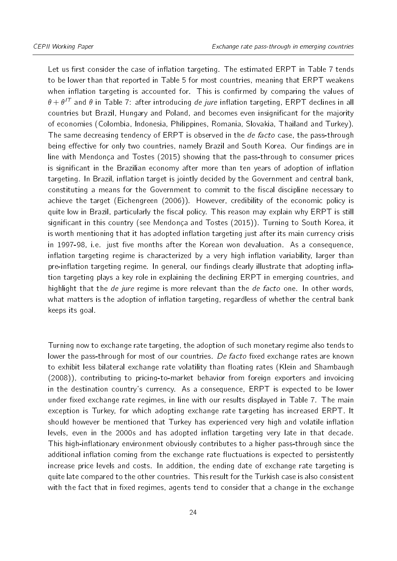Let us first consider the case of inflation targeting. The estimated ERPT in Table [7](#page-22-0) tends to be lower than that reported in Table [5](#page-17-0) for most countries, meaning that ERPT weakens when inflation targeting is accounted for. This is confirmed by comparing the values of  $\theta + \theta^{T}$  and  $\theta$  in Table [7:](#page-22-0) after introducing *de jure* inflation targeting, ERPT declines in all countries but Brazil, Hungary and Poland, and becomes even insignificant for the majority of economies (Colombia, Indonesia, Philippines, Romania, Slovakia, Thailand and Turkey). The same decreasing tendency of ERPT is observed in the *de facto* case, the pass-through being effective for only two countries, namely Brazil and South Korea. Our findings are in line with [Mendonça and Tostes](#page-29-8) [\(2015\)](#page-29-8) showing that the pass-through to consumer prices is significant in the Brazilian economy after more than ten years of adoption of inflation targeting. In Brazil, inflation target is jointly decided by the Government and central bank, constituting a means for the Government to commit to the fiscal discipline necessary to achieve the target [\(Eichengreen](#page-28-15) [\(2006\)](#page-28-15)). However, credibility of the economic policy is quite low in Brazil, particularly the fiscal policy. This reason may explain why ERPT is still significant in this country (see Mendonca and Tostes [\(2015\)](#page-29-8)). Turning to South Korea, it is worth mentioning that it has adopted inflation targeting just after its main currency crisis in 1997-98, i.e. just five months after the Korean won devaluation. As a consequence, inflation targeting regime is characterized by a very high inflation variability, larger than pre-inflation targeting regime. In general, our findings clearly illustrate that adopting inflation targeting plays a key role in explaining the declining ERPT in emerging countries, and highlight that the *de jure* regime is more relevant than the *de facto* one. In other words, what matters is the adoption of inflation targeting, regardless of whether the central bank keeps its goal.

Turning now to exchange rate targeting, the adoption of such monetary regime also tends to lower the pass-through for most of our countries. De facto fixed exchange rates are known to exhibit less bilateral exchange rate volatility than floating rates [\(Klein and Shambaugh](#page-28-16) [\(2008\)](#page-28-16)), contributing to pricing-to-market behavior from foreign exporters and invoicing in the destination country's currency. As a consequence, ERPT is expected to be lower under fixed exchange rate regimes, in line with our results displayed in Table [7.](#page-22-0) The main exception is Turkey, for which adopting exchange rate targeting has increased ERPT. It should however be mentioned that Turkey has experienced very high and volatile inflation levels, even in the 2000s and has adopted inflation targeting very late in that decade. This high-inflationary environment obviously contributes to a higher pass-through since the additional inflation coming from the exchange rate fluctuations is expected to persistently increase price levels and costs. In addition, the ending date of exchange rate targeting is quite late compared to the other countries. This result for the Turkish case is also consistent with the fact that in fixed regimes, agents tend to consider that a change in the exchange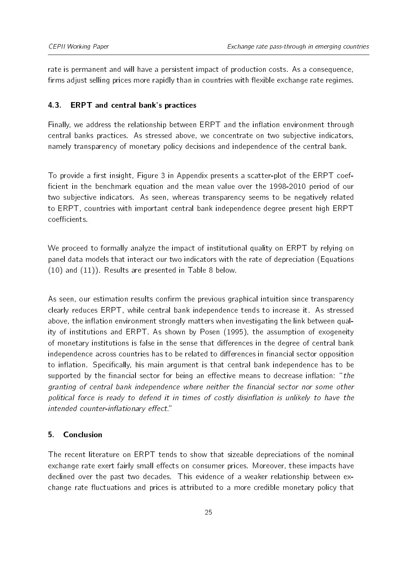rate is permanent and will have a persistent impact of production costs. As a consequence, firms adjust selling prices more rapidly than in countries with flexible exchange rate regimes.

## 4.3. ERPT and central bank's practices

Finally, we address the relationship between ERPT and the inflation environment through central banks practices. As stressed above, we concentrate on two subjective indicators, namely transparency of monetary policy decisions and independence of the central bank.

To provide a first insight, Figure [3](#page-30-0) in Appendix presents a scatter-plot of the ERPT coefficient in the benchmark equation and the mean value over the 1998-2010 period of our two subjective indicators. As seen, whereas transparency seems to be negatively related to ERPT, countries with important central bank independence degree present high ERPT coefficients

We proceed to formally analyze the impact of institutional quality on ERPT by relying on panel data models that interact our two indicators with the rate of depreciation (Equations [\(10\)](#page-10-1) and [\(11\)](#page-10-2)). Results are presented in Table [8](#page-25-0) below.

As seen, our estimation results confirm the previous graphical intuition since transparency clearly reduces ERPT, while central bank independence tends to increase it. As stressed above, the inflation environment strongly matters when investigating the link between quality of institutions and ERPT. As shown by [Posen](#page-29-6) [\(1995\)](#page-29-6), the assumption of exogeneity of monetary institutions is false in the sense that differences in the degree of central bank independence across countries has to be related to differences in financial sector opposition to inflation. Specifically, his main argument is that central bank independence has to be supported by the financial sector for being an effective means to decrease inflation: "the granting of central bank independence where neither the financial sector nor some other political force is ready to defend it in times of costly disinflation is unlikely to have the intended counter-inflationary effect."

## <span id="page-24-0"></span>5. Conclusion

The recent literature on ERPT tends to show that sizeable depreciations of the nominal exchange rate exert fairly small effects on consumer prices. Moreover, these impacts have declined over the past two decades. This evidence of a weaker relationship between exchange rate fluctuations and prices is attributed to a more credible monetary policy that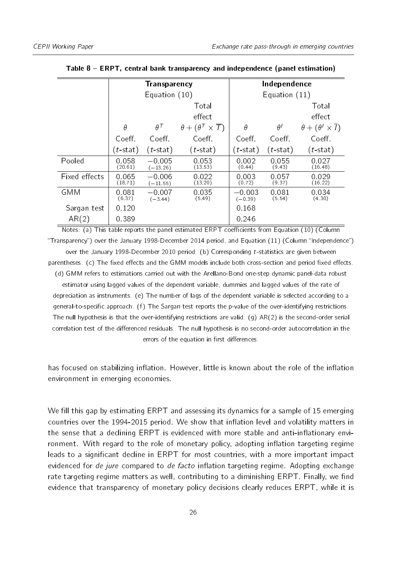<span id="page-25-0"></span>

|               |                    | <b>Transparency</b>    |                                                               | Independence          |                   |                                                   |
|---------------|--------------------|------------------------|---------------------------------------------------------------|-----------------------|-------------------|---------------------------------------------------|
|               |                    | Equation (10)          |                                                               | Equation $(11)$       |                   |                                                   |
|               |                    |                        | Total                                                         |                       |                   | Total                                             |
|               |                    |                        | effect                                                        |                       |                   | effect                                            |
|               | $\theta$           | $\theta^{\mathcal{T}}$ | $\theta + (\theta^{\mathsf{T}} \times \overline{\mathsf{T}})$ | $\theta$              | $\theta^I$        | $\theta + (\theta^{\dagger} \times \overline{I})$ |
|               | Coeff.             | Coeff                  | Coeff.                                                        | Coeff.                | Coeff.            | Coeff.                                            |
|               | ( <i>t</i> -stat)  | $(t$ -stat)            | $(t$ -stat)                                                   | ( <i>t</i> -stat)     | $(t$ -stat)       | $(t$ -stat)                                       |
| Pooled        | 0.058<br>(20.61)   | $-0.005$<br>$(-13.26)$ | 0.053<br>(13.53)                                              | 0.002<br>(0.44)       | 0 0 5 5<br>(9.43) | 0.027<br>(16.48)                                  |
| Fixed effects | 0 0 6 5<br>(18.71) | $-0.006$<br>$(-11.55)$ | 0.022<br>(13.20)                                              | 0.003<br>(0.72)       | 0.057<br>(9.37)   | 0.029<br>(16.22)                                  |
| <b>GMM</b>    | 0.081<br>(6.37)    | $-0.007$<br>$(-3.44)$  | 0.035<br>(5.49)                                               | $-0.003$<br>$(-0.39)$ | 0.081<br>(5.54)   | 0.034<br>(4.30)                                   |
| Sargan test   | 0.120              |                        |                                                               | 0.168                 |                   |                                                   |
| AR(2)         | 0389               |                        |                                                               | 0.246                 |                   |                                                   |

Table 8 ERPT, central bank transparency and independence (panel estimation)

Notes: (a) This table reports the panel estimated ERPT coefficients from Equation [\(10\)](#page-10-1) (Column "Transparency") over the January 1998-December 2014 period, and Equation [\(11\)](#page-10-2) (Column "Independence") over the January 1998-December 2010 period. (b) Corresponding t-statistics are given between

parentheses. (c) The fixed effects and the GMM models include both cross-section and period fixed effects. (d) GMM refers to estimations carried out with the Arellano-Bond one-step dynamic panel-data robust

estimator using lagged values of the dependent variable, dummies and lagged values of the rate of depreciation as instruments. (e) The number of lags of the dependent variable is selected according to a general-to-specific approach. (f) The Sargan test reports the p-value of the over-identifying restrictions. The null hypothesis is that the over-identifying restrictions are valid. (g)  $AR(2)$  is the second-order serial correlation test of the differenced residuals. The null hypothesis is no second-order autocorrelation in the errors of the equation in first differences.

has focused on stabilizing inflation. However, little is known about the role of the inflation environment in emerging economies.

We fill this gap by estimating ERPT and assessing its dynamics for a sample of 15 emerging countries over the 1994-2015 period. We show that inflation level and volatility matters in the sense that a declining ERPT is evidenced with more stable and anti-inflationary environment. With regard to the role of monetary policy, adopting inflation targeting regime leads to a significant decline in ERPT for most countries, with a more important impact evidenced for de jure compared to de facto inflation targeting regime. Adopting exchange rate targeting regime matters as well, contributing to a diminishing ERPT. Finally, we find evidence that transparency of monetary policy decisions clearly reduces ERPT, while it is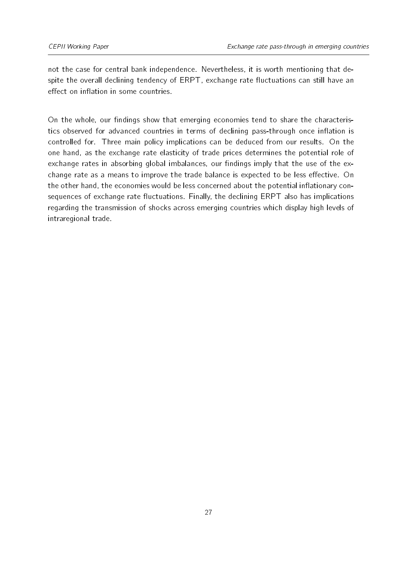not the case for central bank independence. Nevertheless, it is worth mentioning that despite the overall declining tendency of ERPT, exchange rate fluctuations can still have an effect on inflation in some countries.

On the whole, our findings show that emerging economies tend to share the characteristics observed for advanced countries in terms of declining pass-through once inflation is controlled for. Three main policy implications can be deduced from our results. On the one hand, as the exchange rate elasticity of trade prices determines the potential role of exchange rates in absorbing global imbalances, our findings imply that the use of the exchange rate as a means to improve the trade balance is expected to be less effective. On the other hand, the economies would be less concerned about the potential inflationary consequences of exchange rate fluctuations. Finally, the declining ERPT also has implications regarding the transmission of shocks across emerging countries which display high levels of intraregional trade.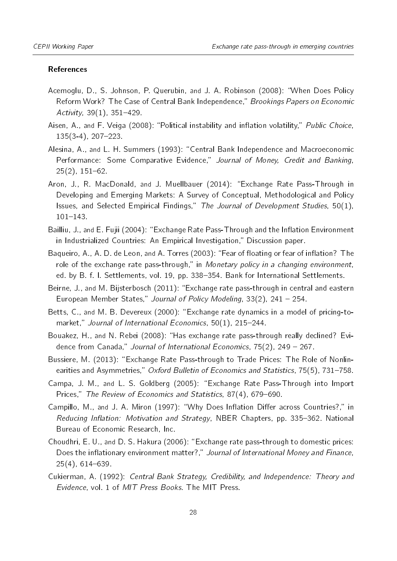#### References

- <span id="page-27-10"></span>Acemoglu, D., S. Johnson, P. Querubin, and J. A. Robinson (2008): "When Does Policy Reform Work? The Case of Central Bank Independence," Brookings Papers on Economic Activity,  $39(1)$ ,  $351-429$ .
- <span id="page-27-8"></span>Aisen, A., and F. Veiga (2008): "Political instability and inflation volatility," Public Choice,  $135(3-4)$ ,  $207-223$ .
- <span id="page-27-6"></span>Alesina, A., and L. H. Summers (1993): "Central Bank Independence and Macroeconomic Performance: Some Comparative Evidence," Journal of Money, Credit and Banking,  $25(2)$ ,  $151-62$ .
- <span id="page-27-3"></span>Aron, J., R. MacDonald, and J. Muellbauer (2014): Exchange Rate Pass-Through in Developing and Emerging Markets: A Survey of Conceptual, Methodological and Policy Issues, and Selected Empirical Findings," The Journal of Development Studies,  $50(1)$ ,  $101 - 143$ .
- <span id="page-27-4"></span>Bailliu, J., and E. Fujii (2004): "Exchange Rate Pass-Through and the Inflation Environment in Industrialized Countries: An Empirical Investigation," Discussion paper.
- <span id="page-27-12"></span>Baqueiro, A., A. D. de Leon, and A. Torres (2003): "Fear of floating or fear of inflation? The role of the exchange rate pass-through," in Monetary policy in a changing environment, ed. by B. f. I. Settlements, vol. 19, pp. 338-354. Bank for International Settlements.
- <span id="page-27-11"></span>Beirne, J., and M. Bijsterbosch (2011): Exchange rate pass-through in central and eastern European Member States," Journal of Policy Modeling,  $33(2)$ , 241 - 254.
- <span id="page-27-0"></span>Betts, C., and M. B. Devereux (2000): Exchange rate dynamics in a model of pricing-tomarket," Journal of International Economics,  $50(1)$ , 215-244.
- <span id="page-27-2"></span>Bouakez, H., and N. Rebei (2008): "Has exchange rate pass-through really declined? Evidence from Canada," Journal of International Economics,  $75(2)$ , 249 - 267.
- <span id="page-27-13"></span>Bussiere, M. (2013): Exchange Rate Pass-through to Trade Prices: The Role of Nonlinearities and Asymmetries," Oxford Bulletin of Economics and Statistics, 75(5), 731–758.
- <span id="page-27-1"></span>Campa, J. M., and L. S. Goldberg (2005): Exchange Rate Pass-Through into Import Prices," The Review of Economics and Statistics, 87(4), 679-690.
- <span id="page-27-9"></span>Campillo, M., and J. A. Miron (1997): "Why Does Inflation Differ across Countries?." in Reducing Inflation: Motivation and Strategy, NBER Chapters, pp. 335-362. National Bureau of Economic Research, Inc.
- <span id="page-27-5"></span>Choudhri, E. U., and D. S. Hakura (2006): Exchange rate pass-through to domestic prices: Does the inflationary environment matter?," Journal of International Money and Finance,  $25(4)$ , 614-639.
- <span id="page-27-7"></span>Cukierman, A. (1992): Central Bank Strategy, Credibility, and Independence: Theory and Evidence, vol. 1 of MIT Press Books. The MIT Press.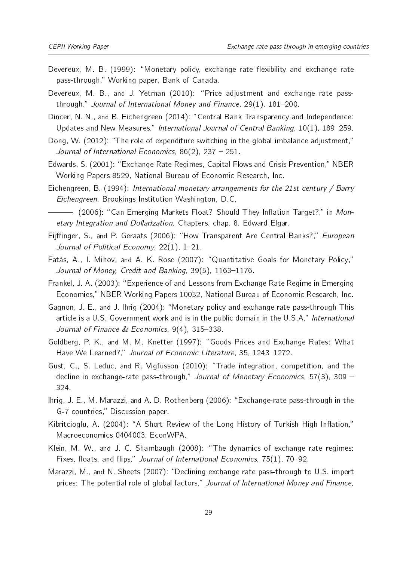- <span id="page-28-9"></span>Devereux, M. B. (1999): "Monetary policy, exchange rate flexibility and exchange rate pass-through," Working paper, Bank of Canada.
- <span id="page-28-2"></span>Devereux, M. B., and J. Yetman (2010): "Price adjustment and exchange rate passthrough," Journal of International Money and Finance,  $29(1)$ ,  $181-200$ .
- <span id="page-28-13"></span>Dincer, N. N., and B. Eichengreen (2014): "Central Bank Transparency and Independence: Updates and New Measures," International Journal of Central Banking, 10(1), 189-259.
- <span id="page-28-5"></span>Dong, W. (2012): "The role of expenditure switching in the global imbalance adjustment," Journal of International Economics,  $86(2)$ ,  $237 - 251$ .
- <span id="page-28-10"></span>Edwards, S. (2001): "Exchange Rate Regimes, Capital Flows and Crisis Prevention," NBER Working Papers 8529, National Bureau of Economic Research, Inc.
- <span id="page-28-8"></span>Eichengreen, B. (1994): International monetary arrangements for the 21st century / Barry Eichengreen. Brookings Institution Washington, D.C.
- <span id="page-28-15"></span>(2006): "Can Emerging Markets Float? Should They Inflation Target?," in Monetary Integration and Dollarization, Chapters, chap. 8. Edward Elgar.
- <span id="page-28-12"></span>Eijffinger, S., and P. Geraats (2006): "How Transparent Are Central Banks?," European Journal of Political Economy,  $22(1)$ ,  $1-21$ .
- <span id="page-28-7"></span>Fatás, A., I. Mihov, and A. K. Rose (2007): "Quantitative Goals for Monetary Policy," Journal of Money, Credit and Banking, 39(5), 1163-1176.
- <span id="page-28-11"></span>Frankel, J. A. (2003): "Experience of and Lessons from Exchange Rate Regime in Emerging Economies," NBER Working Papers 10032, National Bureau of Economic Research, Inc.
- <span id="page-28-3"></span>Gagnon, J. E., and J. Ihrig (2004): "Monetary policy and exchange rate pass-through This article is a U.S. Government work and is in the public domain in the U.S.A," International Journal of Finance  $& Economics$ , 9(4), 315-338.
- <span id="page-28-6"></span>Goldberg, P. K., and M. M. Knetter (1997): "Goods Prices and Exchange Rates: What Have We Learned?," Journal of Economic Literature, 35, 1243-1272.
- <span id="page-28-1"></span>Gust, C., S. Leduc, and R. Vigfusson (2010): Trade integration, competition, and the decline in exchange-rate pass-through," Journal of Monetary Economics, 57(3), 309 – 324.
- <span id="page-28-4"></span>Ihrig, J. E., M. Marazzi, and A. D. Rothenberg (2006): Exchange-rate pass-through in the G-7 countries," Discussion paper.
- <span id="page-28-14"></span>Kibritcioglu, A. (2004): "A Short Review of the Long History of Turkish High Inflation," Macroeconomics 0404003, EconWPA.
- <span id="page-28-16"></span>Klein, M. W., and J. C. Shambaugh (2008): "The dynamics of exchange rate regimes: Fixes, floats, and flips," Journal of International Economics,  $75(1)$ ,  $70-92$ .
- <span id="page-28-0"></span>Marazzi, M., and N. Sheets (2007): "Declining exchange rate pass-through to U.S. import prices: The potential role of global factors," Journal of International Money and Finance,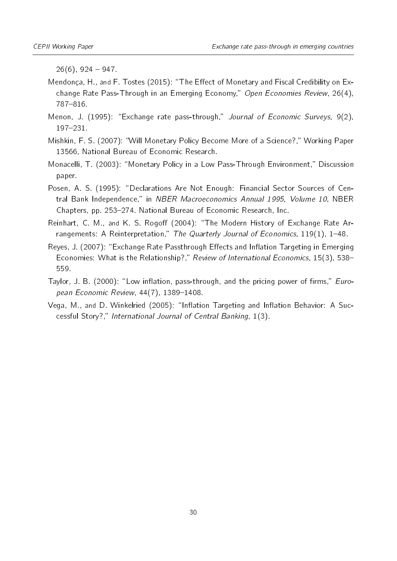$26(6)$ , 924 – 947.

- <span id="page-29-8"></span>Mendonça, H., and F. Tostes (2015): "The Effect of Monetary and Fiscal Credibility on Exchange Rate Pass-Through in an Emerging Economy," Open Economies Review, 26(4), 787-816.
- <span id="page-29-1"></span>Menon, J. (1995): "Exchange rate pass-through," Journal of Economic Surveys,  $9(2)$ , 197-231.
- <span id="page-29-3"></span>Mishkin, F. S. (2007): "Will Monetary Policy Become More of a Science?," Working Paper 13566, National Bureau of Economic Research.
- <span id="page-29-0"></span>Monacelli, T. (2003): "Monetary Policy in a Low Pass-Through Environment," Discussion paper.
- <span id="page-29-6"></span>Posen, A. S. (1995): "Declarations Are Not Enough: Financial Sector Sources of Central Bank Independence," in NBER Macroeconomics Annual 1995, Volume 10, NBER Chapters, pp. 253–274. National Bureau of Economic Research, Inc.
- <span id="page-29-7"></span>Reinhart, C. M., and K. S. Rogoff (2004): "The Modern History of Exchange Rate Arrangements: A Reinterpretation," The Quarterly Journal of Economics,  $119(1)$ ,  $1-48$ .
- <span id="page-29-5"></span>Reyes, J. (2007): "Exchange Rate Passthrough Effects and Inflation Targeting in Emerging Economies: What is the Relationship?," Review of International Economics, 15(3), 538-559.
- <span id="page-29-2"></span>Taylor, J. B. (2000): "Low inflation, pass-through, and the pricing power of firms," *Euro*pean Economic Review,  $44(7)$ , 1389-1408.
- <span id="page-29-4"></span>Vega, M., and D. Winkelried (2005): "Inflation Targeting and Inflation Behavior: A Successful Story?," International Journal of Central Banking, 1(3).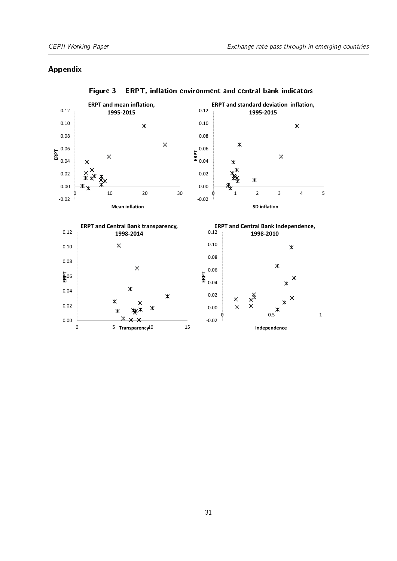## Appendix

<span id="page-30-0"></span>

Figure  $3$  – ERPT, inflation environment and central bank indicators